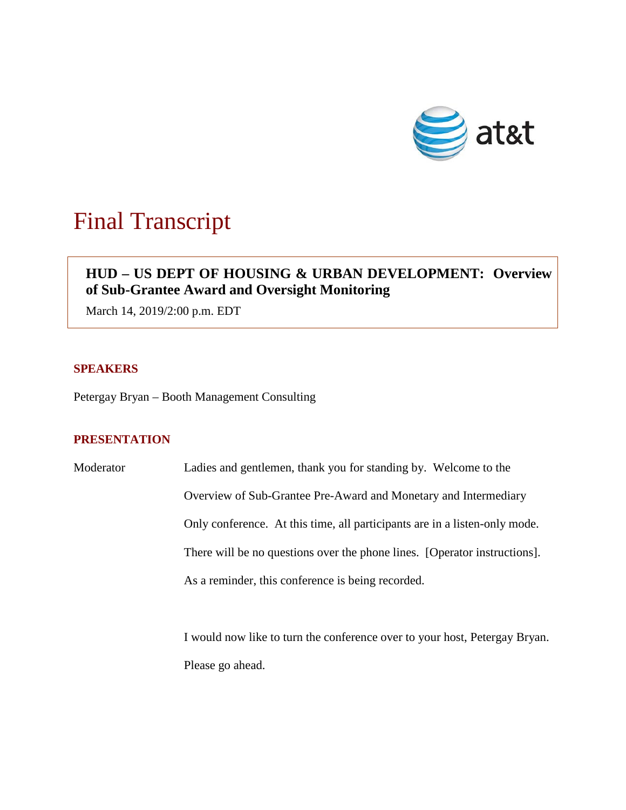

# Final Transcript

# **HUD – US DEPT OF HOUSING & URBAN DEVELOPMENT: Overview of Sub-Grantee Award and Oversight Monitoring**

March 14, 2019/2:00 p.m. EDT

## **SPEAKERS**

Petergay Bryan – Booth Management Consulting

## **PRESENTATION**

Moderator Ladies and gentlemen, thank you for standing by. Welcome to the Overview of Sub-Grantee Pre-Award and Monetary and Intermediary Only conference. At this time, all participants are in a listen-only mode. There will be no questions over the phone lines. [Operator instructions]. As a reminder, this conference is being recorded.

> I would now like to turn the conference over to your host, Petergay Bryan. Please go ahead.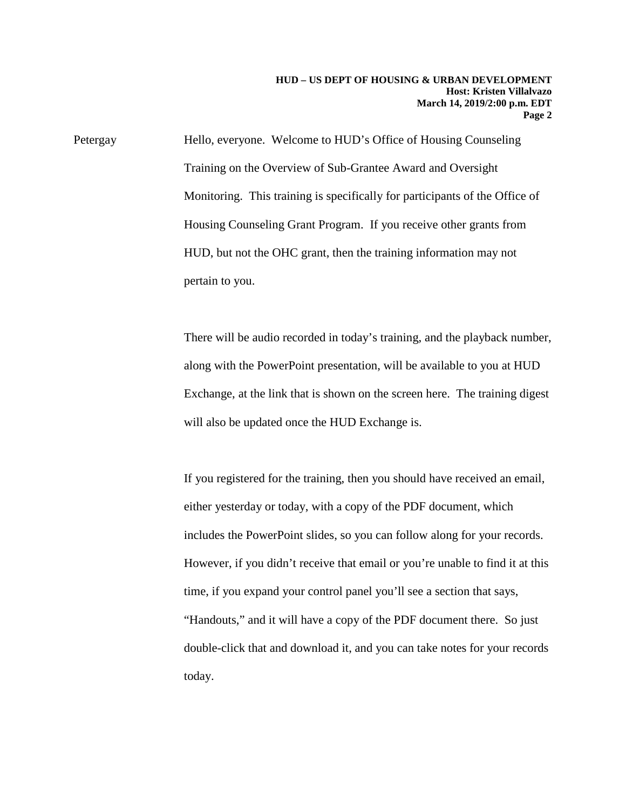Petergay Hello, everyone. Welcome to HUD's Office of Housing Counseling Training on the Overview of Sub-Grantee Award and Oversight Monitoring. This training is specifically for participants of the Office of Housing Counseling Grant Program. If you receive other grants from HUD, but not the OHC grant, then the training information may not pertain to you.

> There will be audio recorded in today's training, and the playback number, along with the PowerPoint presentation, will be available to you at HUD Exchange, at the link that is shown on the screen here. The training digest will also be updated once the HUD Exchange is.

> If you registered for the training, then you should have received an email, either yesterday or today, with a copy of the PDF document, which includes the PowerPoint slides, so you can follow along for your records. However, if you didn't receive that email or you're unable to find it at this time, if you expand your control panel you'll see a section that says, "Handouts," and it will have a copy of the PDF document there. So just double-click that and download it, and you can take notes for your records today.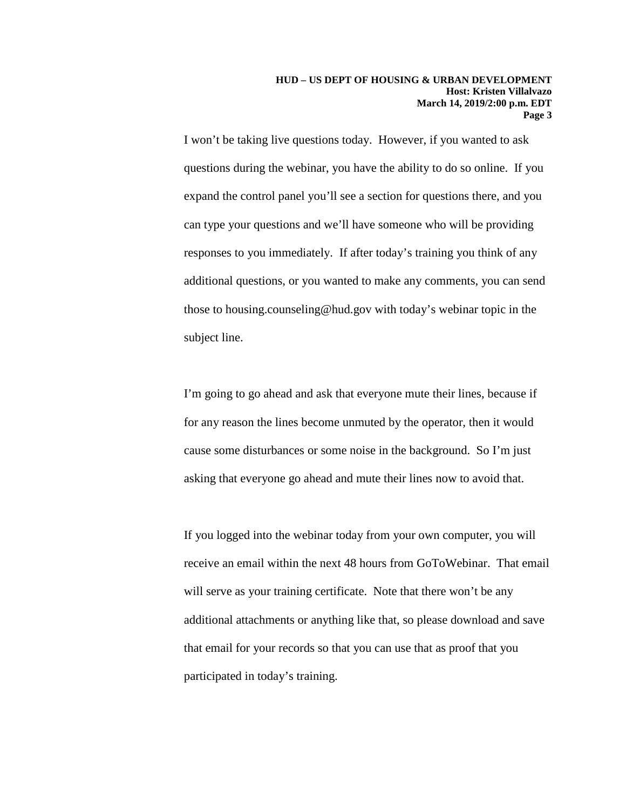I won't be taking live questions today. However, if you wanted to ask questions during the webinar, you have the ability to do so online. If you expand the control panel you'll see a section for questions there, and you can type your questions and we'll have someone who will be providing responses to you immediately. If after today's training you think of any additional questions, or you wanted to make any comments, you can send those to housing.counseling@hud.gov with today's webinar topic in the subject line.

I'm going to go ahead and ask that everyone mute their lines, because if for any reason the lines become unmuted by the operator, then it would cause some disturbances or some noise in the background. So I'm just asking that everyone go ahead and mute their lines now to avoid that.

If you logged into the webinar today from your own computer, you will receive an email within the next 48 hours from GoToWebinar. That email will serve as your training certificate. Note that there won't be any additional attachments or anything like that, so please download and save that email for your records so that you can use that as proof that you participated in today's training.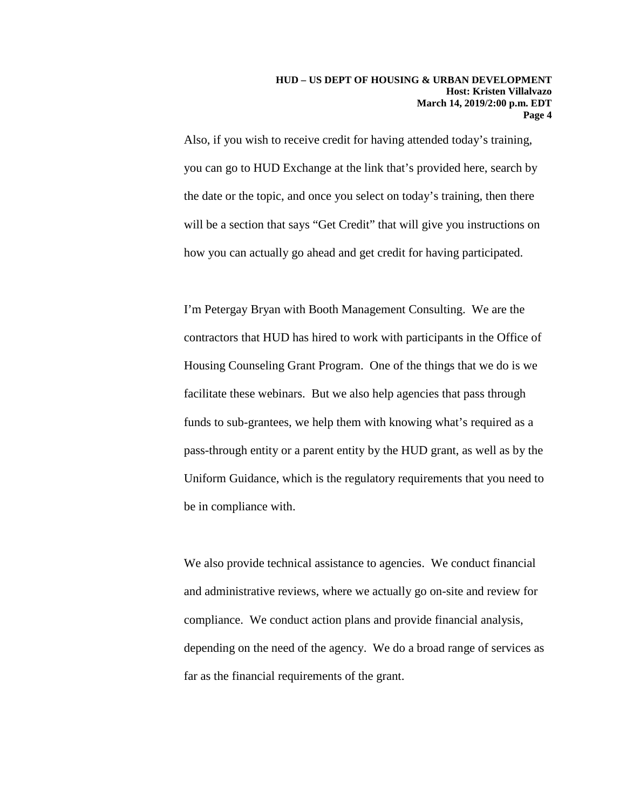Also, if you wish to receive credit for having attended today's training, you can go to HUD Exchange at the link that's provided here, search by the date or the topic, and once you select on today's training, then there will be a section that says "Get Credit" that will give you instructions on how you can actually go ahead and get credit for having participated.

I'm Petergay Bryan with Booth Management Consulting. We are the contractors that HUD has hired to work with participants in the Office of Housing Counseling Grant Program. One of the things that we do is we facilitate these webinars. But we also help agencies that pass through funds to sub-grantees, we help them with knowing what's required as a pass-through entity or a parent entity by the HUD grant, as well as by the Uniform Guidance, which is the regulatory requirements that you need to be in compliance with.

We also provide technical assistance to agencies. We conduct financial and administrative reviews, where we actually go on-site and review for compliance. We conduct action plans and provide financial analysis, depending on the need of the agency. We do a broad range of services as far as the financial requirements of the grant.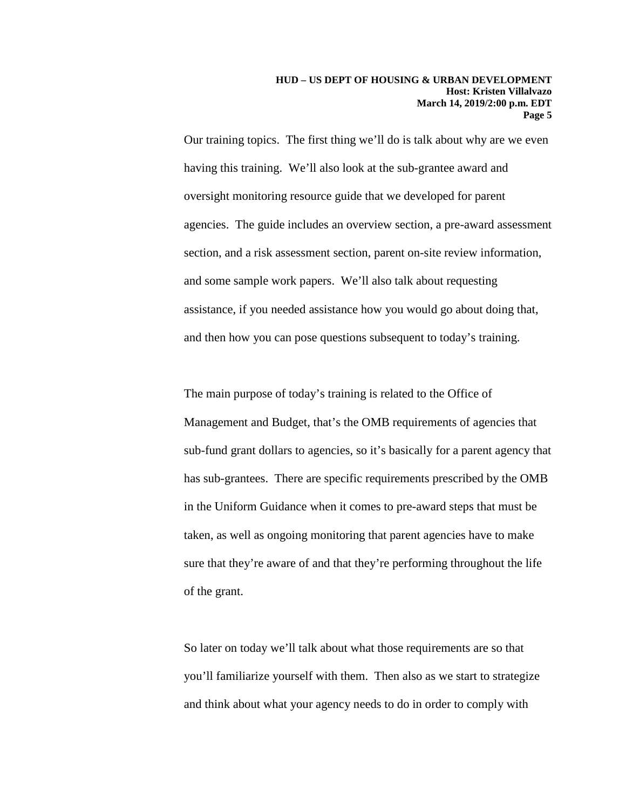Our training topics. The first thing we'll do is talk about why are we even having this training. We'll also look at the sub-grantee award and oversight monitoring resource guide that we developed for parent agencies. The guide includes an overview section, a pre-award assessment section, and a risk assessment section, parent on-site review information, and some sample work papers. We'll also talk about requesting assistance, if you needed assistance how you would go about doing that, and then how you can pose questions subsequent to today's training.

The main purpose of today's training is related to the Office of Management and Budget, that's the OMB requirements of agencies that sub-fund grant dollars to agencies, so it's basically for a parent agency that has sub-grantees. There are specific requirements prescribed by the OMB in the Uniform Guidance when it comes to pre-award steps that must be taken, as well as ongoing monitoring that parent agencies have to make sure that they're aware of and that they're performing throughout the life of the grant.

So later on today we'll talk about what those requirements are so that you'll familiarize yourself with them. Then also as we start to strategize and think about what your agency needs to do in order to comply with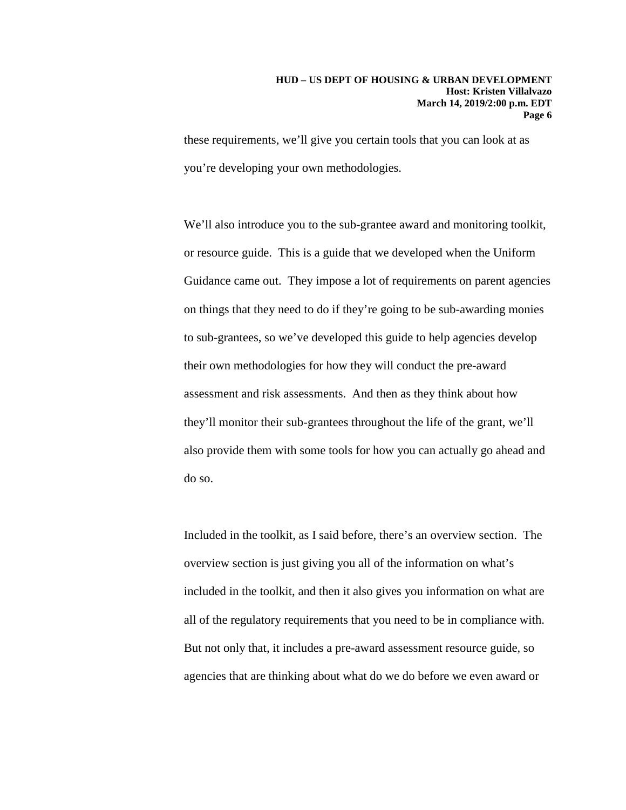these requirements, we'll give you certain tools that you can look at as you're developing your own methodologies.

We'll also introduce you to the sub-grantee award and monitoring toolkit, or resource guide. This is a guide that we developed when the Uniform Guidance came out. They impose a lot of requirements on parent agencies on things that they need to do if they're going to be sub-awarding monies to sub-grantees, so we've developed this guide to help agencies develop their own methodologies for how they will conduct the pre-award assessment and risk assessments. And then as they think about how they'll monitor their sub-grantees throughout the life of the grant, we'll also provide them with some tools for how you can actually go ahead and do so.

Included in the toolkit, as I said before, there's an overview section. The overview section is just giving you all of the information on what's included in the toolkit, and then it also gives you information on what are all of the regulatory requirements that you need to be in compliance with. But not only that, it includes a pre-award assessment resource guide, so agencies that are thinking about what do we do before we even award or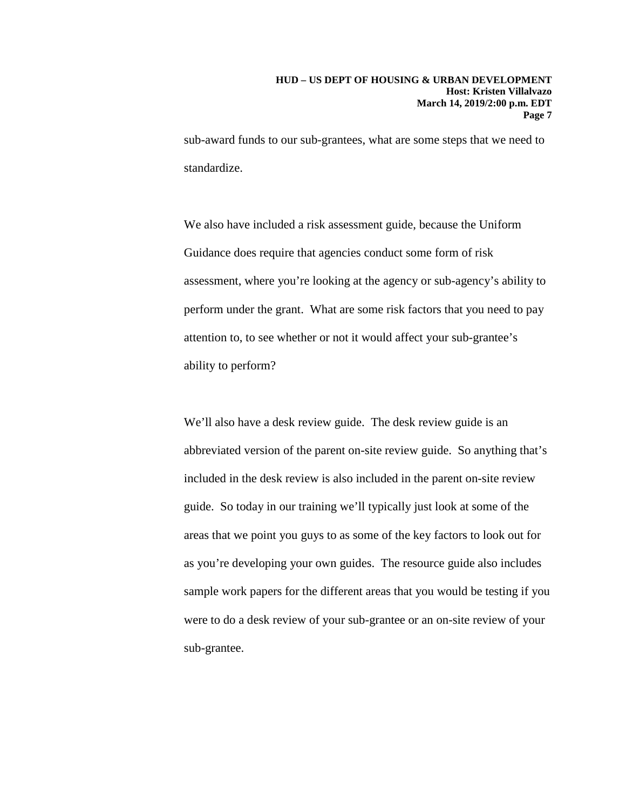sub-award funds to our sub-grantees, what are some steps that we need to standardize.

We also have included a risk assessment guide, because the Uniform Guidance does require that agencies conduct some form of risk assessment, where you're looking at the agency or sub-agency's ability to perform under the grant. What are some risk factors that you need to pay attention to, to see whether or not it would affect your sub-grantee's ability to perform?

We'll also have a desk review guide. The desk review guide is an abbreviated version of the parent on-site review guide. So anything that's included in the desk review is also included in the parent on-site review guide. So today in our training we'll typically just look at some of the areas that we point you guys to as some of the key factors to look out for as you're developing your own guides. The resource guide also includes sample work papers for the different areas that you would be testing if you were to do a desk review of your sub-grantee or an on-site review of your sub-grantee.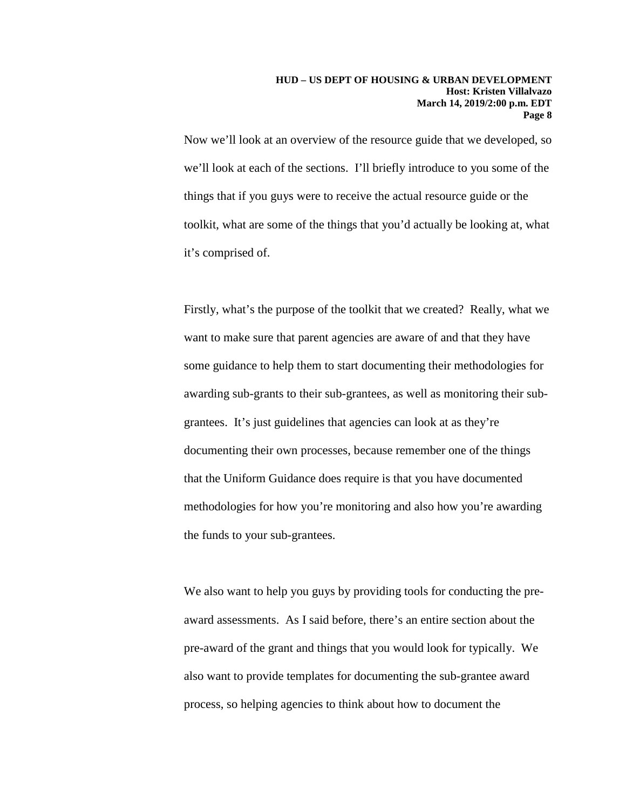Now we'll look at an overview of the resource guide that we developed, so we'll look at each of the sections. I'll briefly introduce to you some of the things that if you guys were to receive the actual resource guide or the toolkit, what are some of the things that you'd actually be looking at, what it's comprised of.

Firstly, what's the purpose of the toolkit that we created? Really, what we want to make sure that parent agencies are aware of and that they have some guidance to help them to start documenting their methodologies for awarding sub-grants to their sub-grantees, as well as monitoring their subgrantees. It's just guidelines that agencies can look at as they're documenting their own processes, because remember one of the things that the Uniform Guidance does require is that you have documented methodologies for how you're monitoring and also how you're awarding the funds to your sub-grantees.

We also want to help you guys by providing tools for conducting the preaward assessments. As I said before, there's an entire section about the pre-award of the grant and things that you would look for typically. We also want to provide templates for documenting the sub-grantee award process, so helping agencies to think about how to document the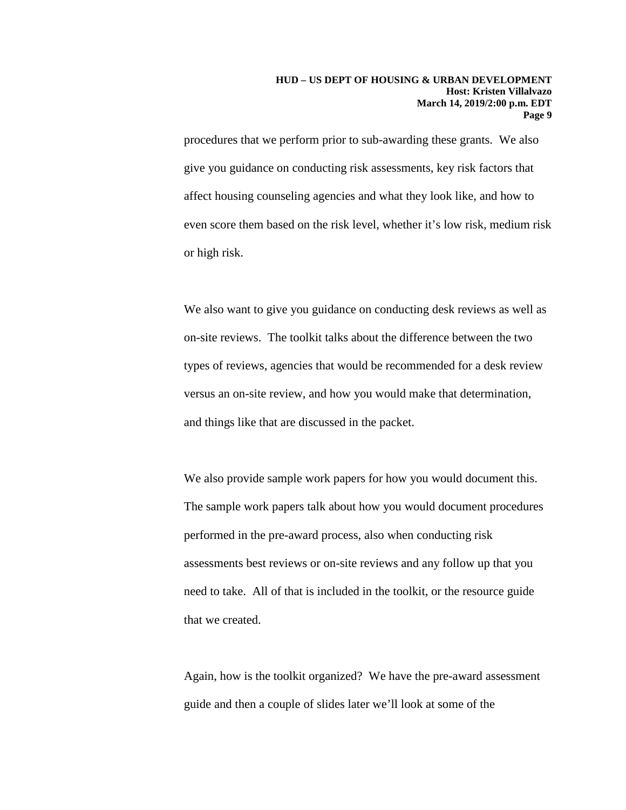procedures that we perform prior to sub-awarding these grants. We also give you guidance on conducting risk assessments, key risk factors that affect housing counseling agencies and what they look like, and how to even score them based on the risk level, whether it's low risk, medium risk or high risk.

We also want to give you guidance on conducting desk reviews as well as on-site reviews. The toolkit talks about the difference between the two types of reviews, agencies that would be recommended for a desk review versus an on-site review, and how you would make that determination, and things like that are discussed in the packet.

We also provide sample work papers for how you would document this. The sample work papers talk about how you would document procedures performed in the pre-award process, also when conducting risk assessments best reviews or on-site reviews and any follow up that you need to take. All of that is included in the toolkit, or the resource guide that we created.

Again, how is the toolkit organized? We have the pre-award assessment guide and then a couple of slides later we'll look at some of the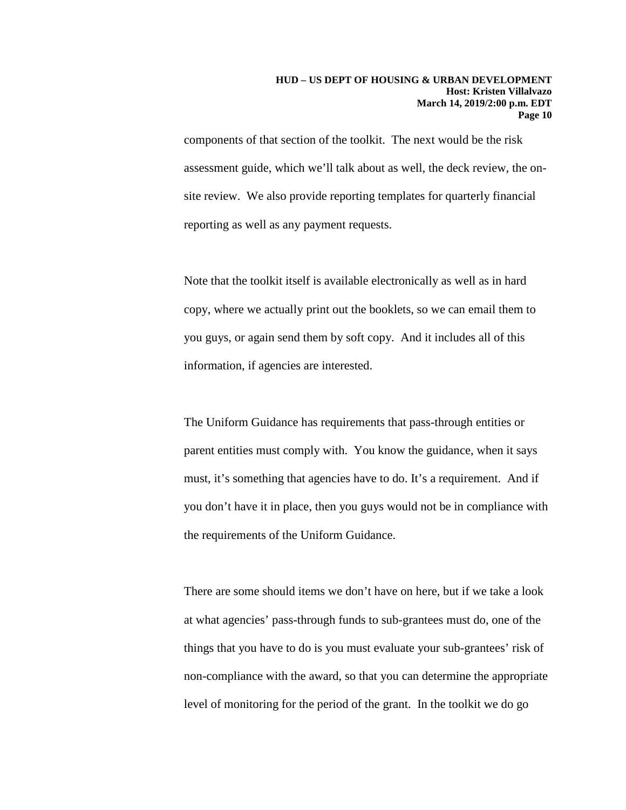components of that section of the toolkit. The next would be the risk assessment guide, which we'll talk about as well, the deck review, the onsite review. We also provide reporting templates for quarterly financial reporting as well as any payment requests.

Note that the toolkit itself is available electronically as well as in hard copy, where we actually print out the booklets, so we can email them to you guys, or again send them by soft copy. And it includes all of this information, if agencies are interested.

The Uniform Guidance has requirements that pass-through entities or parent entities must comply with. You know the guidance, when it says must, it's something that agencies have to do. It's a requirement. And if you don't have it in place, then you guys would not be in compliance with the requirements of the Uniform Guidance.

There are some should items we don't have on here, but if we take a look at what agencies' pass-through funds to sub-grantees must do, one of the things that you have to do is you must evaluate your sub-grantees' risk of non-compliance with the award, so that you can determine the appropriate level of monitoring for the period of the grant. In the toolkit we do go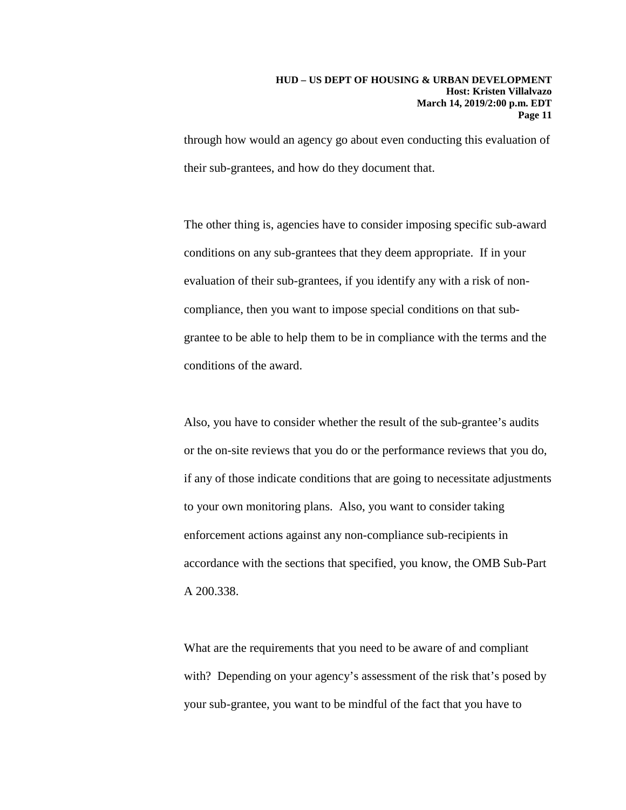through how would an agency go about even conducting this evaluation of their sub-grantees, and how do they document that.

The other thing is, agencies have to consider imposing specific sub-award conditions on any sub-grantees that they deem appropriate. If in your evaluation of their sub-grantees, if you identify any with a risk of noncompliance, then you want to impose special conditions on that subgrantee to be able to help them to be in compliance with the terms and the conditions of the award.

Also, you have to consider whether the result of the sub-grantee's audits or the on-site reviews that you do or the performance reviews that you do, if any of those indicate conditions that are going to necessitate adjustments to your own monitoring plans. Also, you want to consider taking enforcement actions against any non-compliance sub-recipients in accordance with the sections that specified, you know, the OMB Sub-Part A 200.338.

What are the requirements that you need to be aware of and compliant with? Depending on your agency's assessment of the risk that's posed by your sub-grantee, you want to be mindful of the fact that you have to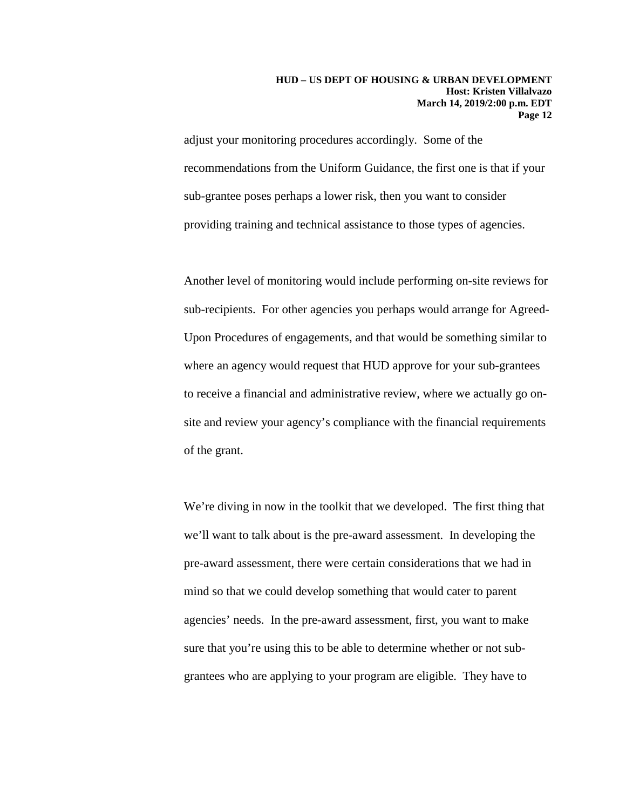adjust your monitoring procedures accordingly. Some of the recommendations from the Uniform Guidance, the first one is that if your sub-grantee poses perhaps a lower risk, then you want to consider providing training and technical assistance to those types of agencies.

Another level of monitoring would include performing on-site reviews for sub-recipients. For other agencies you perhaps would arrange for Agreed-Upon Procedures of engagements, and that would be something similar to where an agency would request that HUD approve for your sub-grantees to receive a financial and administrative review, where we actually go onsite and review your agency's compliance with the financial requirements of the grant.

We're diving in now in the toolkit that we developed. The first thing that we'll want to talk about is the pre-award assessment. In developing the pre-award assessment, there were certain considerations that we had in mind so that we could develop something that would cater to parent agencies' needs. In the pre-award assessment, first, you want to make sure that you're using this to be able to determine whether or not subgrantees who are applying to your program are eligible. They have to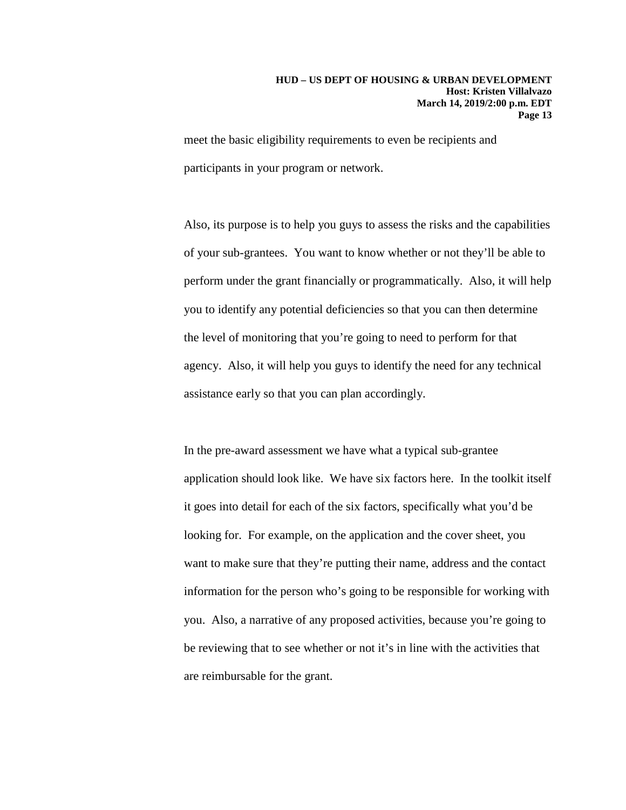meet the basic eligibility requirements to even be recipients and participants in your program or network.

Also, its purpose is to help you guys to assess the risks and the capabilities of your sub-grantees. You want to know whether or not they'll be able to perform under the grant financially or programmatically. Also, it will help you to identify any potential deficiencies so that you can then determine the level of monitoring that you're going to need to perform for that agency. Also, it will help you guys to identify the need for any technical assistance early so that you can plan accordingly.

In the pre-award assessment we have what a typical sub-grantee application should look like. We have six factors here. In the toolkit itself it goes into detail for each of the six factors, specifically what you'd be looking for. For example, on the application and the cover sheet, you want to make sure that they're putting their name, address and the contact information for the person who's going to be responsible for working with you. Also, a narrative of any proposed activities, because you're going to be reviewing that to see whether or not it's in line with the activities that are reimbursable for the grant.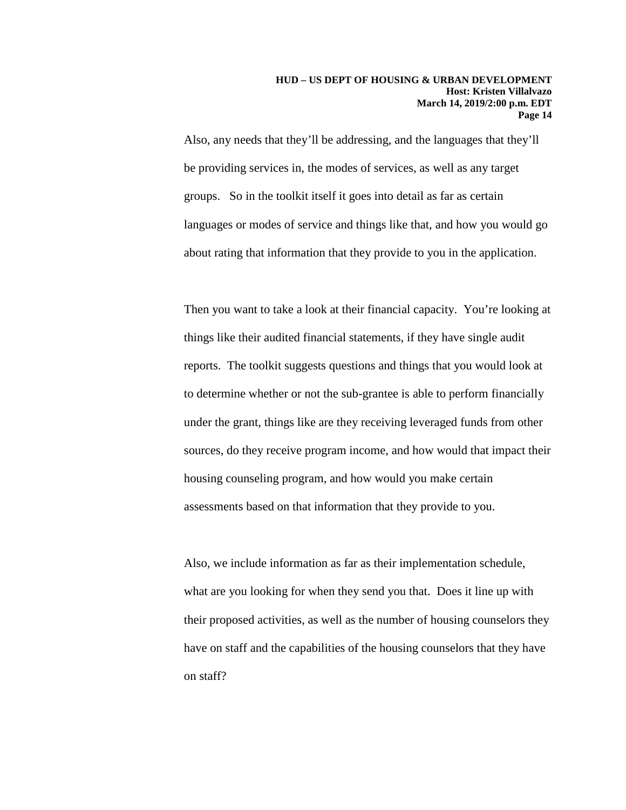Also, any needs that they'll be addressing, and the languages that they'll be providing services in, the modes of services, as well as any target groups. So in the toolkit itself it goes into detail as far as certain languages or modes of service and things like that, and how you would go about rating that information that they provide to you in the application.

Then you want to take a look at their financial capacity. You're looking at things like their audited financial statements, if they have single audit reports. The toolkit suggests questions and things that you would look at to determine whether or not the sub-grantee is able to perform financially under the grant, things like are they receiving leveraged funds from other sources, do they receive program income, and how would that impact their housing counseling program, and how would you make certain assessments based on that information that they provide to you.

Also, we include information as far as their implementation schedule, what are you looking for when they send you that. Does it line up with their proposed activities, as well as the number of housing counselors they have on staff and the capabilities of the housing counselors that they have on staff?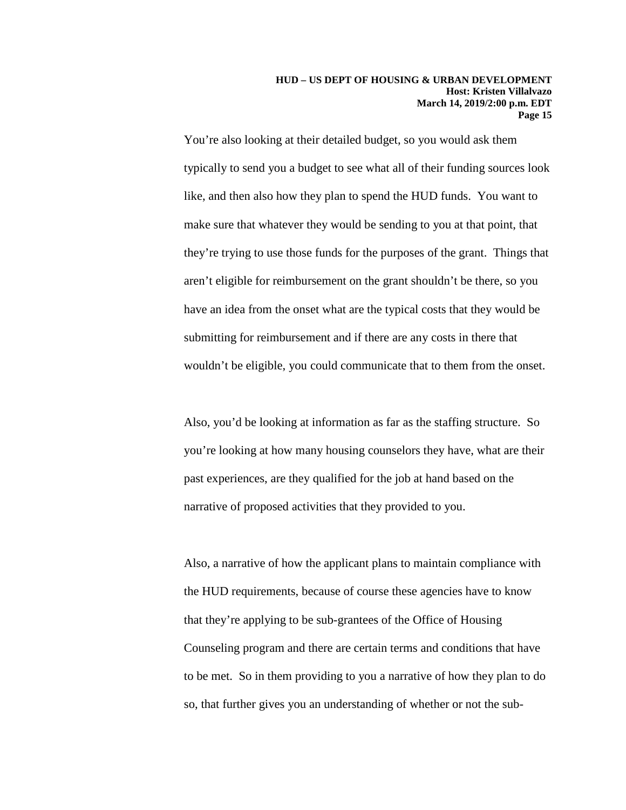You're also looking at their detailed budget, so you would ask them typically to send you a budget to see what all of their funding sources look like, and then also how they plan to spend the HUD funds. You want to make sure that whatever they would be sending to you at that point, that they're trying to use those funds for the purposes of the grant. Things that aren't eligible for reimbursement on the grant shouldn't be there, so you have an idea from the onset what are the typical costs that they would be submitting for reimbursement and if there are any costs in there that wouldn't be eligible, you could communicate that to them from the onset.

Also, you'd be looking at information as far as the staffing structure. So you're looking at how many housing counselors they have, what are their past experiences, are they qualified for the job at hand based on the narrative of proposed activities that they provided to you.

Also, a narrative of how the applicant plans to maintain compliance with the HUD requirements, because of course these agencies have to know that they're applying to be sub-grantees of the Office of Housing Counseling program and there are certain terms and conditions that have to be met. So in them providing to you a narrative of how they plan to do so, that further gives you an understanding of whether or not the sub-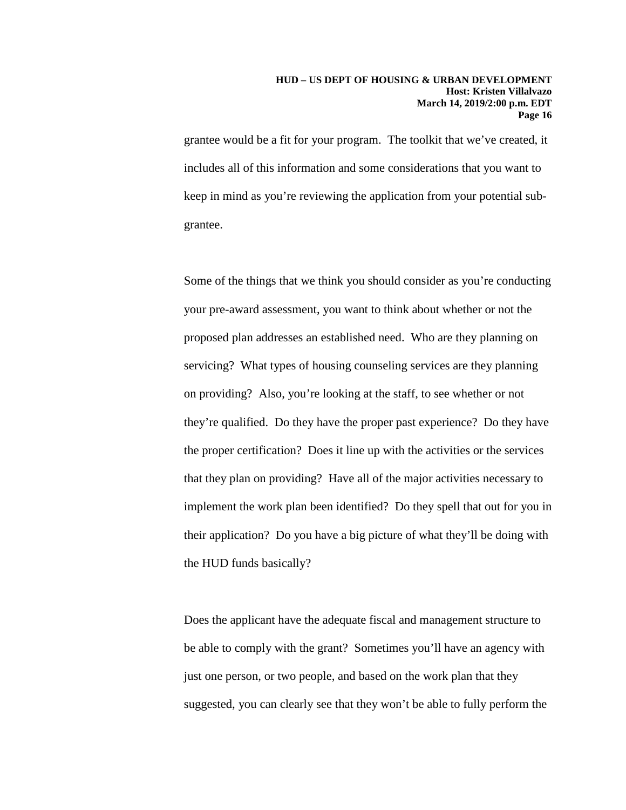grantee would be a fit for your program. The toolkit that we've created, it includes all of this information and some considerations that you want to keep in mind as you're reviewing the application from your potential subgrantee.

Some of the things that we think you should consider as you're conducting your pre-award assessment, you want to think about whether or not the proposed plan addresses an established need. Who are they planning on servicing? What types of housing counseling services are they planning on providing? Also, you're looking at the staff, to see whether or not they're qualified. Do they have the proper past experience? Do they have the proper certification? Does it line up with the activities or the services that they plan on providing? Have all of the major activities necessary to implement the work plan been identified? Do they spell that out for you in their application? Do you have a big picture of what they'll be doing with the HUD funds basically?

Does the applicant have the adequate fiscal and management structure to be able to comply with the grant? Sometimes you'll have an agency with just one person, or two people, and based on the work plan that they suggested, you can clearly see that they won't be able to fully perform the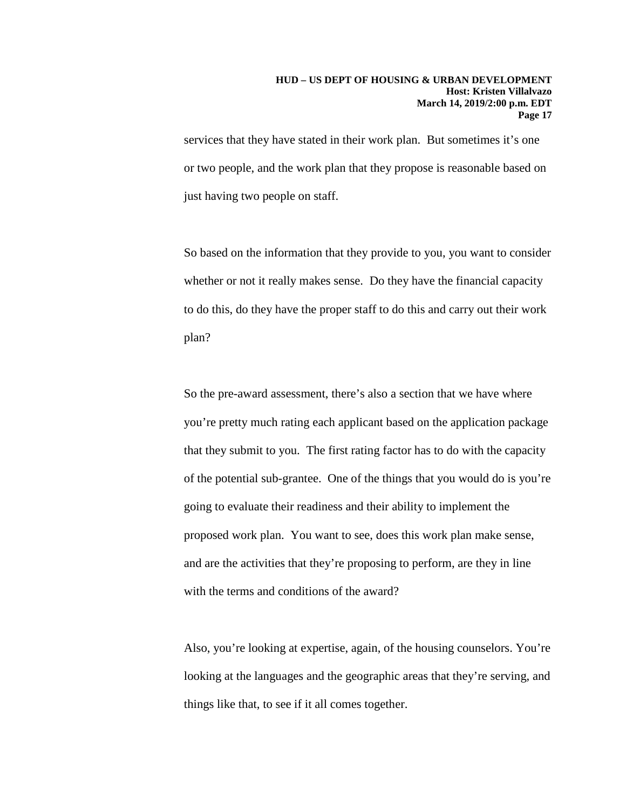services that they have stated in their work plan. But sometimes it's one or two people, and the work plan that they propose is reasonable based on just having two people on staff.

So based on the information that they provide to you, you want to consider whether or not it really makes sense. Do they have the financial capacity to do this, do they have the proper staff to do this and carry out their work plan?

So the pre-award assessment, there's also a section that we have where you're pretty much rating each applicant based on the application package that they submit to you. The first rating factor has to do with the capacity of the potential sub-grantee. One of the things that you would do is you're going to evaluate their readiness and their ability to implement the proposed work plan. You want to see, does this work plan make sense, and are the activities that they're proposing to perform, are they in line with the terms and conditions of the award?

Also, you're looking at expertise, again, of the housing counselors. You're looking at the languages and the geographic areas that they're serving, and things like that, to see if it all comes together.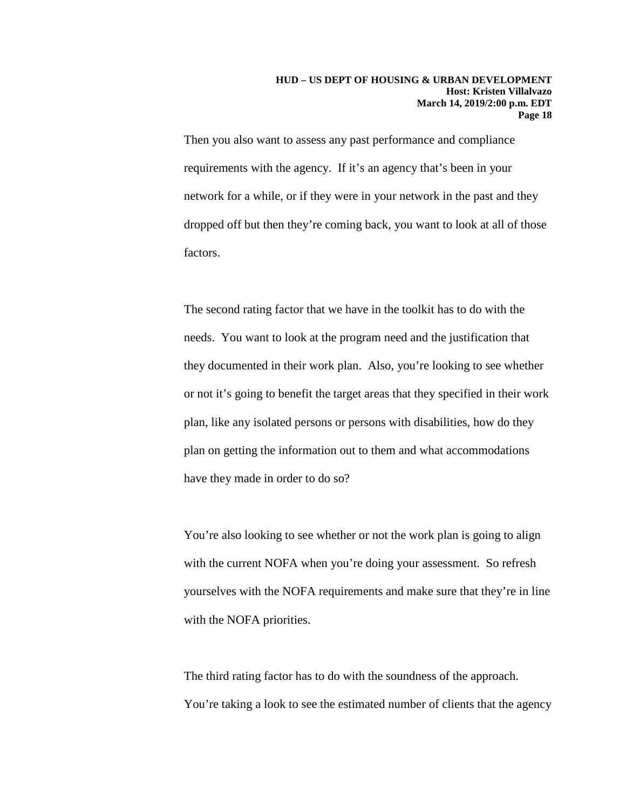Then you also want to assess any past performance and compliance requirements with the agency. If it's an agency that's been in your network for a while, or if they were in your network in the past and they dropped off but then they're coming back, you want to look at all of those factors.

The second rating factor that we have in the toolkit has to do with the needs. You want to look at the program need and the justification that they documented in their work plan. Also, you're looking to see whether or not it's going to benefit the target areas that they specified in their work plan, like any isolated persons or persons with disabilities, how do they plan on getting the information out to them and what accommodations have they made in order to do so?

You're also looking to see whether or not the work plan is going to align with the current NOFA when you're doing your assessment. So refresh yourselves with the NOFA requirements and make sure that they're in line with the NOFA priorities.

The third rating factor has to do with the soundness of the approach. You're taking a look to see the estimated number of clients that the agency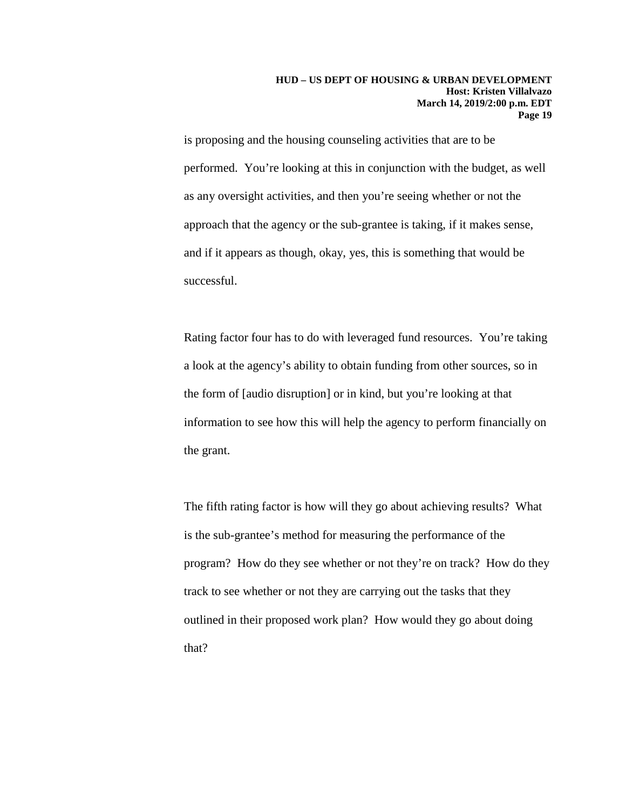is proposing and the housing counseling activities that are to be performed. You're looking at this in conjunction with the budget, as well as any oversight activities, and then you're seeing whether or not the approach that the agency or the sub-grantee is taking, if it makes sense, and if it appears as though, okay, yes, this is something that would be successful.

Rating factor four has to do with leveraged fund resources. You're taking a look at the agency's ability to obtain funding from other sources, so in the form of [audio disruption] or in kind, but you're looking at that information to see how this will help the agency to perform financially on the grant.

The fifth rating factor is how will they go about achieving results? What is the sub-grantee's method for measuring the performance of the program? How do they see whether or not they're on track? How do they track to see whether or not they are carrying out the tasks that they outlined in their proposed work plan? How would they go about doing that?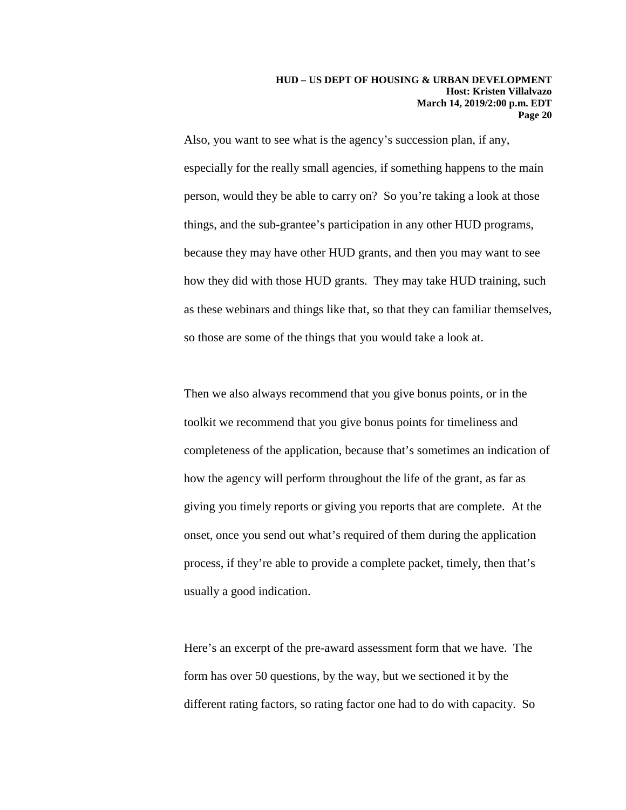Also, you want to see what is the agency's succession plan, if any, especially for the really small agencies, if something happens to the main person, would they be able to carry on? So you're taking a look at those things, and the sub-grantee's participation in any other HUD programs, because they may have other HUD grants, and then you may want to see how they did with those HUD grants. They may take HUD training, such as these webinars and things like that, so that they can familiar themselves, so those are some of the things that you would take a look at.

Then we also always recommend that you give bonus points, or in the toolkit we recommend that you give bonus points for timeliness and completeness of the application, because that's sometimes an indication of how the agency will perform throughout the life of the grant, as far as giving you timely reports or giving you reports that are complete. At the onset, once you send out what's required of them during the application process, if they're able to provide a complete packet, timely, then that's usually a good indication.

Here's an excerpt of the pre-award assessment form that we have. The form has over 50 questions, by the way, but we sectioned it by the different rating factors, so rating factor one had to do with capacity. So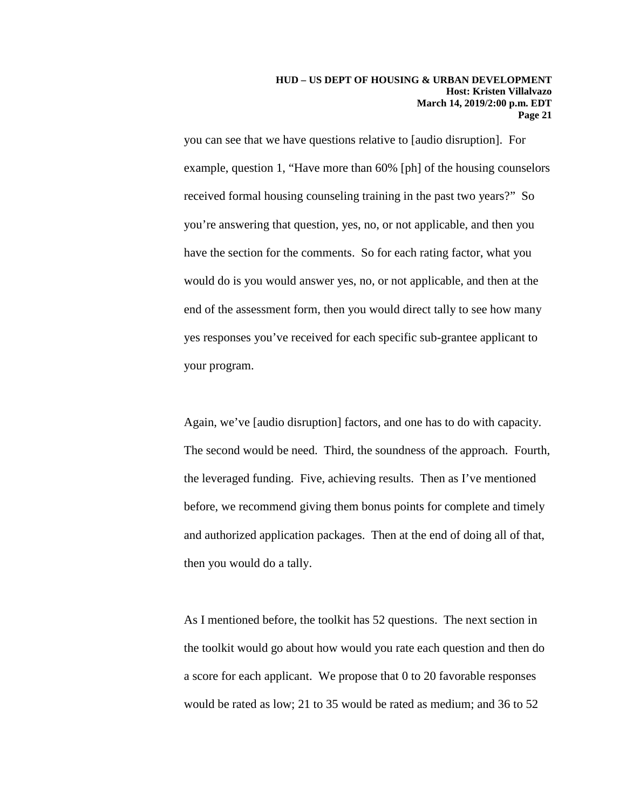you can see that we have questions relative to [audio disruption]. For example, question 1, "Have more than 60% [ph] of the housing counselors received formal housing counseling training in the past two years?" So you're answering that question, yes, no, or not applicable, and then you have the section for the comments. So for each rating factor, what you would do is you would answer yes, no, or not applicable, and then at the end of the assessment form, then you would direct tally to see how many yes responses you've received for each specific sub-grantee applicant to your program.

Again, we've [audio disruption] factors, and one has to do with capacity. The second would be need. Third, the soundness of the approach. Fourth, the leveraged funding. Five, achieving results. Then as I've mentioned before, we recommend giving them bonus points for complete and timely and authorized application packages. Then at the end of doing all of that, then you would do a tally.

As I mentioned before, the toolkit has 52 questions. The next section in the toolkit would go about how would you rate each question and then do a score for each applicant. We propose that 0 to 20 favorable responses would be rated as low; 21 to 35 would be rated as medium; and 36 to 52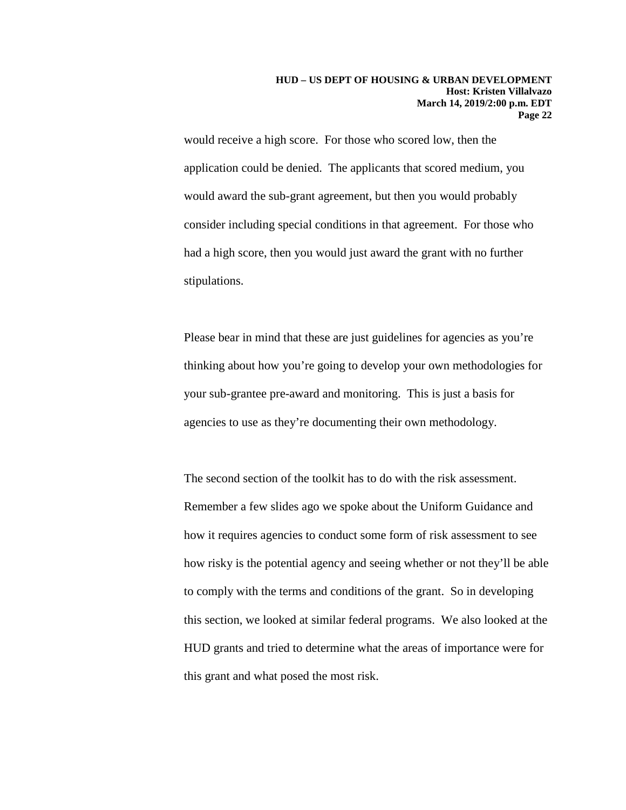would receive a high score. For those who scored low, then the application could be denied. The applicants that scored medium, you would award the sub-grant agreement, but then you would probably consider including special conditions in that agreement. For those who had a high score, then you would just award the grant with no further stipulations.

Please bear in mind that these are just guidelines for agencies as you're thinking about how you're going to develop your own methodologies for your sub-grantee pre-award and monitoring. This is just a basis for agencies to use as they're documenting their own methodology.

The second section of the toolkit has to do with the risk assessment. Remember a few slides ago we spoke about the Uniform Guidance and how it requires agencies to conduct some form of risk assessment to see how risky is the potential agency and seeing whether or not they'll be able to comply with the terms and conditions of the grant. So in developing this section, we looked at similar federal programs. We also looked at the HUD grants and tried to determine what the areas of importance were for this grant and what posed the most risk.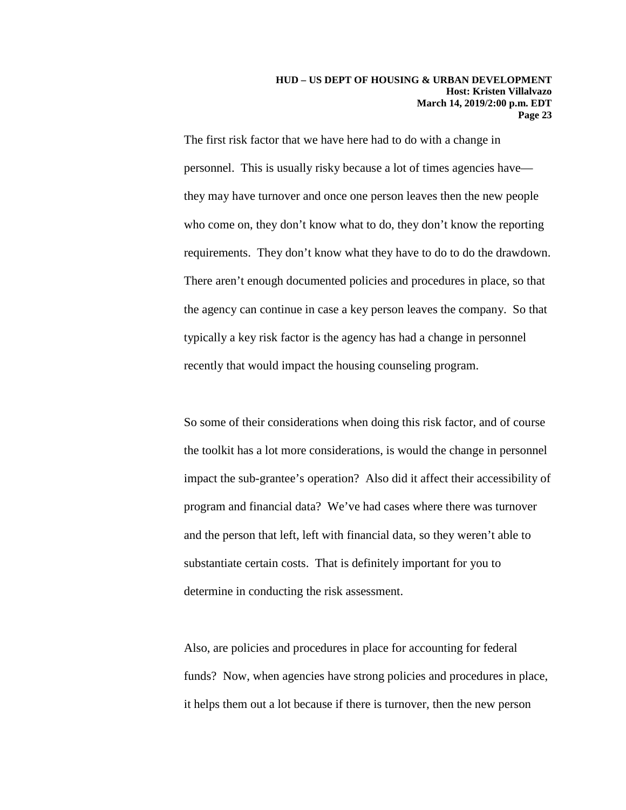The first risk factor that we have here had to do with a change in personnel. This is usually risky because a lot of times agencies have they may have turnover and once one person leaves then the new people who come on, they don't know what to do, they don't know the reporting requirements. They don't know what they have to do to do the drawdown. There aren't enough documented policies and procedures in place, so that the agency can continue in case a key person leaves the company. So that typically a key risk factor is the agency has had a change in personnel recently that would impact the housing counseling program.

So some of their considerations when doing this risk factor, and of course the toolkit has a lot more considerations, is would the change in personnel impact the sub-grantee's operation? Also did it affect their accessibility of program and financial data? We've had cases where there was turnover and the person that left, left with financial data, so they weren't able to substantiate certain costs. That is definitely important for you to determine in conducting the risk assessment.

Also, are policies and procedures in place for accounting for federal funds? Now, when agencies have strong policies and procedures in place, it helps them out a lot because if there is turnover, then the new person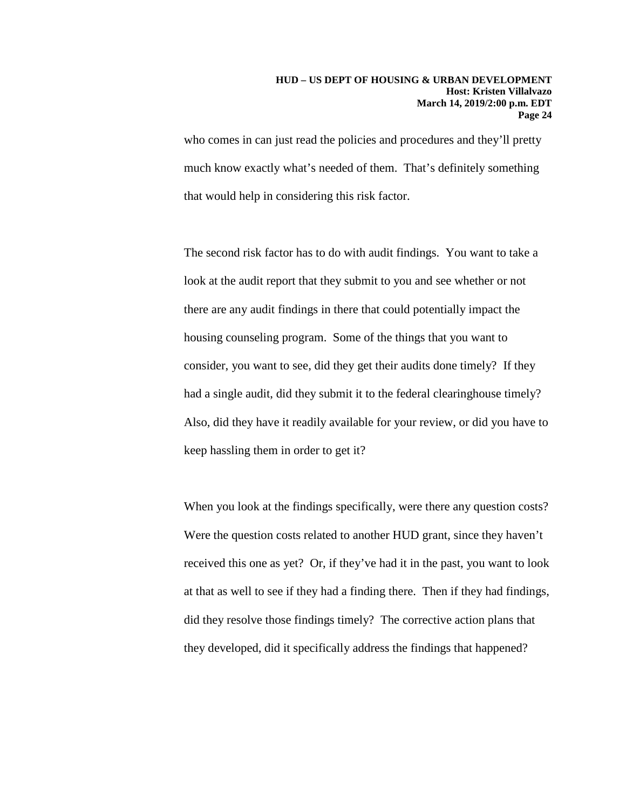who comes in can just read the policies and procedures and they'll pretty much know exactly what's needed of them. That's definitely something that would help in considering this risk factor.

The second risk factor has to do with audit findings. You want to take a look at the audit report that they submit to you and see whether or not there are any audit findings in there that could potentially impact the housing counseling program. Some of the things that you want to consider, you want to see, did they get their audits done timely? If they had a single audit, did they submit it to the federal clearinghouse timely? Also, did they have it readily available for your review, or did you have to keep hassling them in order to get it?

When you look at the findings specifically, were there any question costs? Were the question costs related to another HUD grant, since they haven't received this one as yet? Or, if they've had it in the past, you want to look at that as well to see if they had a finding there. Then if they had findings, did they resolve those findings timely? The corrective action plans that they developed, did it specifically address the findings that happened?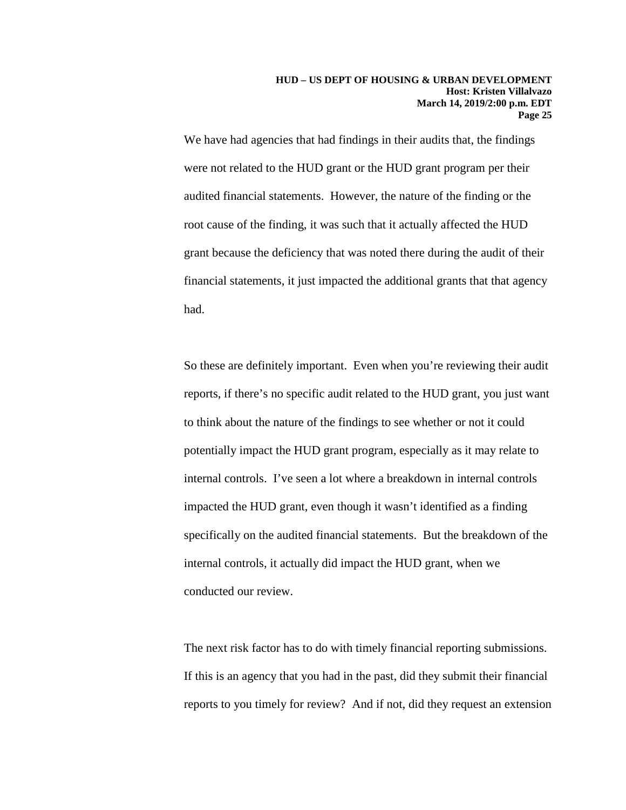We have had agencies that had findings in their audits that, the findings were not related to the HUD grant or the HUD grant program per their audited financial statements. However, the nature of the finding or the root cause of the finding, it was such that it actually affected the HUD grant because the deficiency that was noted there during the audit of their financial statements, it just impacted the additional grants that that agency had.

So these are definitely important. Even when you're reviewing their audit reports, if there's no specific audit related to the HUD grant, you just want to think about the nature of the findings to see whether or not it could potentially impact the HUD grant program, especially as it may relate to internal controls. I've seen a lot where a breakdown in internal controls impacted the HUD grant, even though it wasn't identified as a finding specifically on the audited financial statements. But the breakdown of the internal controls, it actually did impact the HUD grant, when we conducted our review.

The next risk factor has to do with timely financial reporting submissions. If this is an agency that you had in the past, did they submit their financial reports to you timely for review? And if not, did they request an extension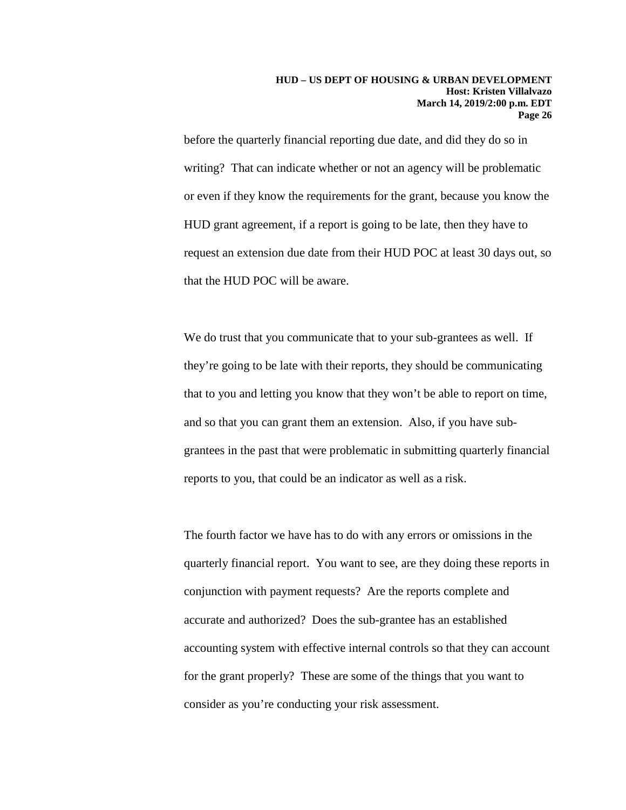before the quarterly financial reporting due date, and did they do so in writing? That can indicate whether or not an agency will be problematic or even if they know the requirements for the grant, because you know the HUD grant agreement, if a report is going to be late, then they have to request an extension due date from their HUD POC at least 30 days out, so that the HUD POC will be aware.

We do trust that you communicate that to your sub-grantees as well. If they're going to be late with their reports, they should be communicating that to you and letting you know that they won't be able to report on time, and so that you can grant them an extension. Also, if you have subgrantees in the past that were problematic in submitting quarterly financial reports to you, that could be an indicator as well as a risk.

The fourth factor we have has to do with any errors or omissions in the quarterly financial report. You want to see, are they doing these reports in conjunction with payment requests? Are the reports complete and accurate and authorized? Does the sub-grantee has an established accounting system with effective internal controls so that they can account for the grant properly? These are some of the things that you want to consider as you're conducting your risk assessment.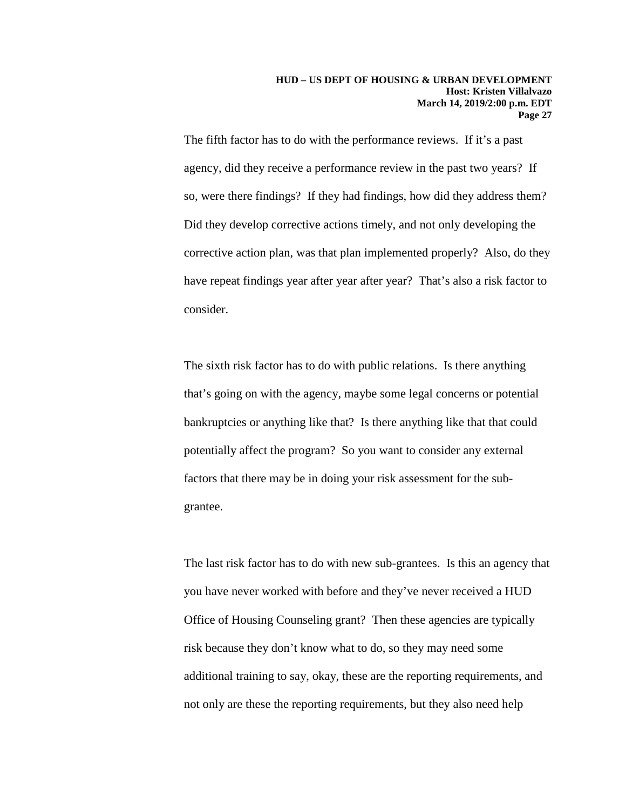The fifth factor has to do with the performance reviews. If it's a past agency, did they receive a performance review in the past two years? If so, were there findings? If they had findings, how did they address them? Did they develop corrective actions timely, and not only developing the corrective action plan, was that plan implemented properly? Also, do they have repeat findings year after year after year? That's also a risk factor to consider.

The sixth risk factor has to do with public relations. Is there anything that's going on with the agency, maybe some legal concerns or potential bankruptcies or anything like that? Is there anything like that that could potentially affect the program? So you want to consider any external factors that there may be in doing your risk assessment for the subgrantee.

The last risk factor has to do with new sub-grantees. Is this an agency that you have never worked with before and they've never received a HUD Office of Housing Counseling grant? Then these agencies are typically risk because they don't know what to do, so they may need some additional training to say, okay, these are the reporting requirements, and not only are these the reporting requirements, but they also need help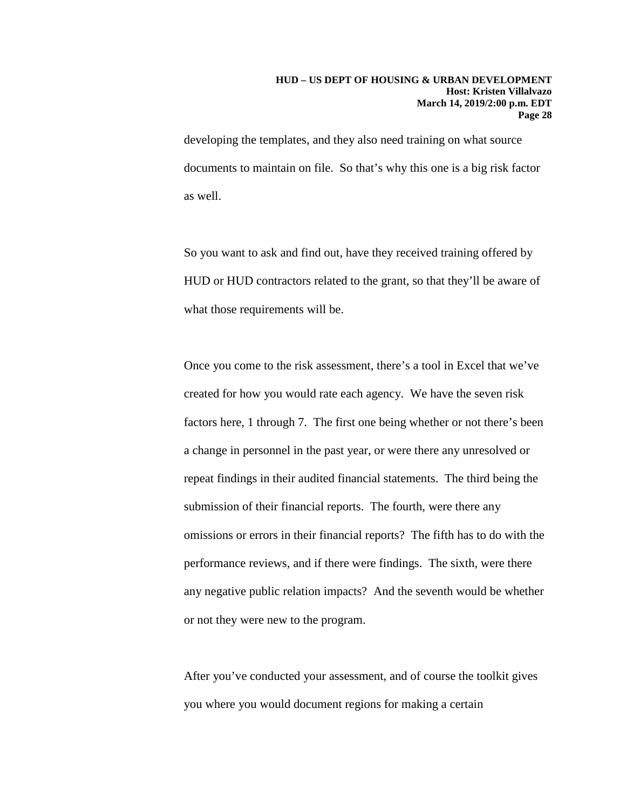developing the templates, and they also need training on what source documents to maintain on file. So that's why this one is a big risk factor as well.

So you want to ask and find out, have they received training offered by HUD or HUD contractors related to the grant, so that they'll be aware of what those requirements will be.

Once you come to the risk assessment, there's a tool in Excel that we've created for how you would rate each agency. We have the seven risk factors here, 1 through 7. The first one being whether or not there's been a change in personnel in the past year, or were there any unresolved or repeat findings in their audited financial statements. The third being the submission of their financial reports. The fourth, were there any omissions or errors in their financial reports? The fifth has to do with the performance reviews, and if there were findings. The sixth, were there any negative public relation impacts? And the seventh would be whether or not they were new to the program.

After you've conducted your assessment, and of course the toolkit gives you where you would document regions for making a certain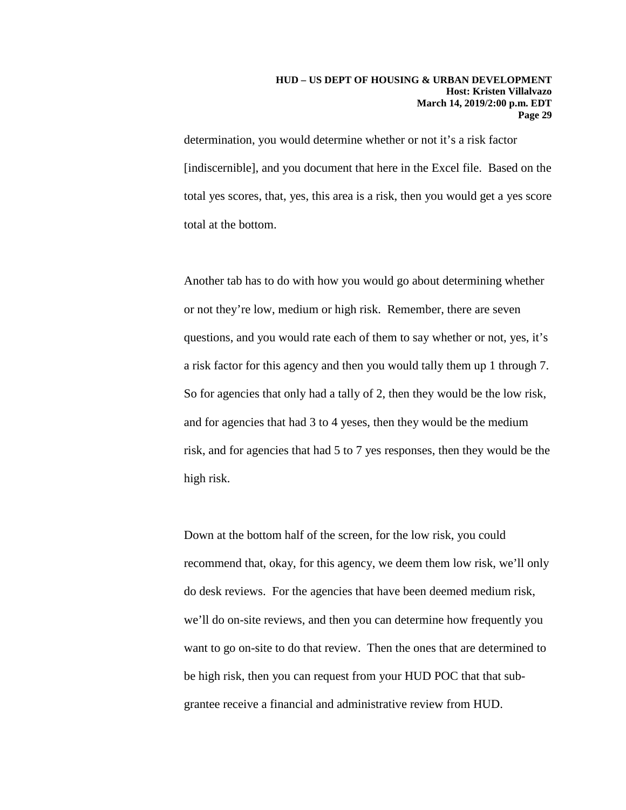determination, you would determine whether or not it's a risk factor [indiscernible], and you document that here in the Excel file. Based on the total yes scores, that, yes, this area is a risk, then you would get a yes score total at the bottom.

Another tab has to do with how you would go about determining whether or not they're low, medium or high risk. Remember, there are seven questions, and you would rate each of them to say whether or not, yes, it's a risk factor for this agency and then you would tally them up 1 through 7. So for agencies that only had a tally of 2, then they would be the low risk, and for agencies that had 3 to 4 yeses, then they would be the medium risk, and for agencies that had 5 to 7 yes responses, then they would be the high risk.

Down at the bottom half of the screen, for the low risk, you could recommend that, okay, for this agency, we deem them low risk, we'll only do desk reviews. For the agencies that have been deemed medium risk, we'll do on-site reviews, and then you can determine how frequently you want to go on-site to do that review. Then the ones that are determined to be high risk, then you can request from your HUD POC that that subgrantee receive a financial and administrative review from HUD.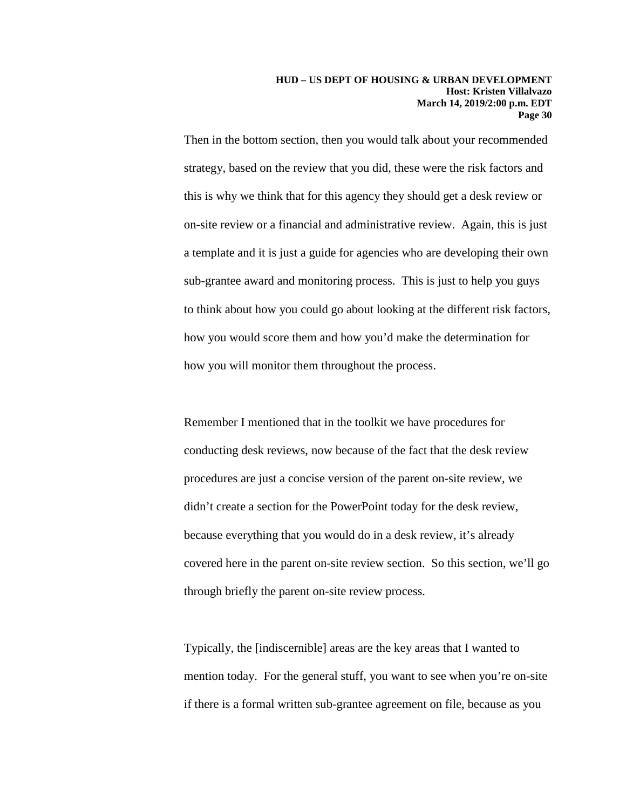Then in the bottom section, then you would talk about your recommended strategy, based on the review that you did, these were the risk factors and this is why we think that for this agency they should get a desk review or on-site review or a financial and administrative review. Again, this is just a template and it is just a guide for agencies who are developing their own sub-grantee award and monitoring process. This is just to help you guys to think about how you could go about looking at the different risk factors, how you would score them and how you'd make the determination for how you will monitor them throughout the process.

Remember I mentioned that in the toolkit we have procedures for conducting desk reviews, now because of the fact that the desk review procedures are just a concise version of the parent on-site review, we didn't create a section for the PowerPoint today for the desk review, because everything that you would do in a desk review, it's already covered here in the parent on-site review section. So this section, we'll go through briefly the parent on-site review process.

Typically, the [indiscernible] areas are the key areas that I wanted to mention today. For the general stuff, you want to see when you're on-site if there is a formal written sub-grantee agreement on file, because as you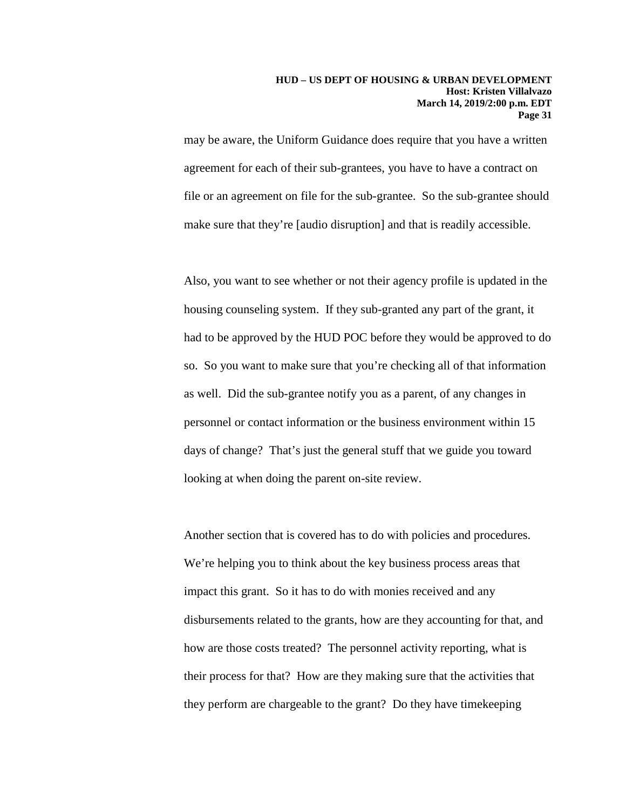may be aware, the Uniform Guidance does require that you have a written agreement for each of their sub-grantees, you have to have a contract on file or an agreement on file for the sub-grantee. So the sub-grantee should make sure that they're [audio disruption] and that is readily accessible.

Also, you want to see whether or not their agency profile is updated in the housing counseling system. If they sub-granted any part of the grant, it had to be approved by the HUD POC before they would be approved to do so. So you want to make sure that you're checking all of that information as well. Did the sub-grantee notify you as a parent, of any changes in personnel or contact information or the business environment within 15 days of change? That's just the general stuff that we guide you toward looking at when doing the parent on-site review.

Another section that is covered has to do with policies and procedures. We're helping you to think about the key business process areas that impact this grant. So it has to do with monies received and any disbursements related to the grants, how are they accounting for that, and how are those costs treated? The personnel activity reporting, what is their process for that? How are they making sure that the activities that they perform are chargeable to the grant? Do they have timekeeping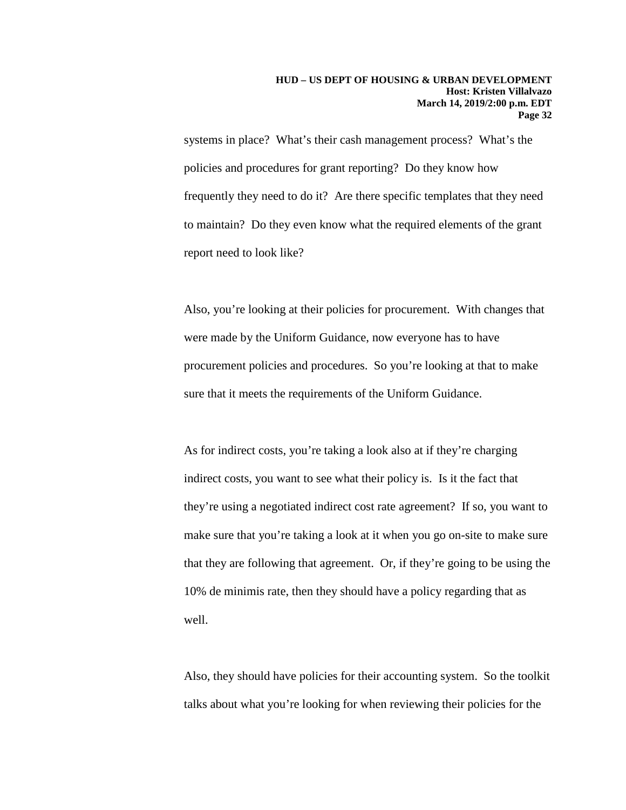systems in place? What's their cash management process? What's the policies and procedures for grant reporting? Do they know how frequently they need to do it? Are there specific templates that they need to maintain? Do they even know what the required elements of the grant report need to look like?

Also, you're looking at their policies for procurement. With changes that were made by the Uniform Guidance, now everyone has to have procurement policies and procedures. So you're looking at that to make sure that it meets the requirements of the Uniform Guidance.

As for indirect costs, you're taking a look also at if they're charging indirect costs, you want to see what their policy is. Is it the fact that they're using a negotiated indirect cost rate agreement? If so, you want to make sure that you're taking a look at it when you go on-site to make sure that they are following that agreement. Or, if they're going to be using the 10% de minimis rate, then they should have a policy regarding that as well.

Also, they should have policies for their accounting system. So the toolkit talks about what you're looking for when reviewing their policies for the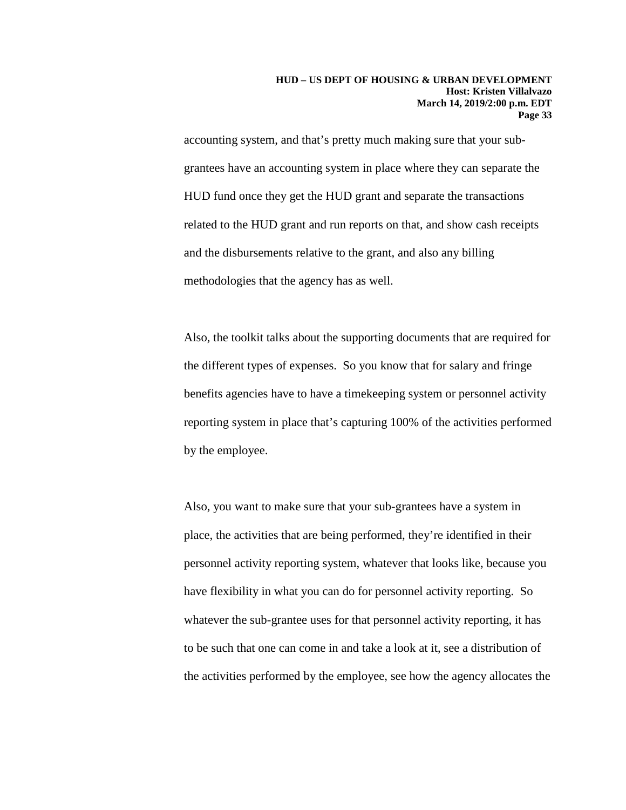accounting system, and that's pretty much making sure that your subgrantees have an accounting system in place where they can separate the HUD fund once they get the HUD grant and separate the transactions related to the HUD grant and run reports on that, and show cash receipts and the disbursements relative to the grant, and also any billing methodologies that the agency has as well.

Also, the toolkit talks about the supporting documents that are required for the different types of expenses. So you know that for salary and fringe benefits agencies have to have a timekeeping system or personnel activity reporting system in place that's capturing 100% of the activities performed by the employee.

Also, you want to make sure that your sub-grantees have a system in place, the activities that are being performed, they're identified in their personnel activity reporting system, whatever that looks like, because you have flexibility in what you can do for personnel activity reporting. So whatever the sub-grantee uses for that personnel activity reporting, it has to be such that one can come in and take a look at it, see a distribution of the activities performed by the employee, see how the agency allocates the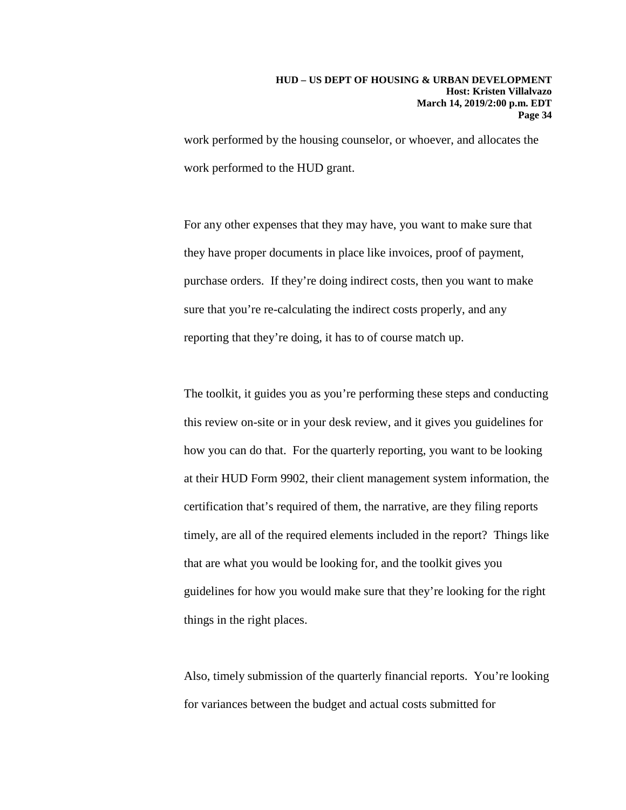work performed by the housing counselor, or whoever, and allocates the work performed to the HUD grant.

For any other expenses that they may have, you want to make sure that they have proper documents in place like invoices, proof of payment, purchase orders. If they're doing indirect costs, then you want to make sure that you're re-calculating the indirect costs properly, and any reporting that they're doing, it has to of course match up.

The toolkit, it guides you as you're performing these steps and conducting this review on-site or in your desk review, and it gives you guidelines for how you can do that. For the quarterly reporting, you want to be looking at their HUD Form 9902, their client management system information, the certification that's required of them, the narrative, are they filing reports timely, are all of the required elements included in the report? Things like that are what you would be looking for, and the toolkit gives you guidelines for how you would make sure that they're looking for the right things in the right places.

Also, timely submission of the quarterly financial reports. You're looking for variances between the budget and actual costs submitted for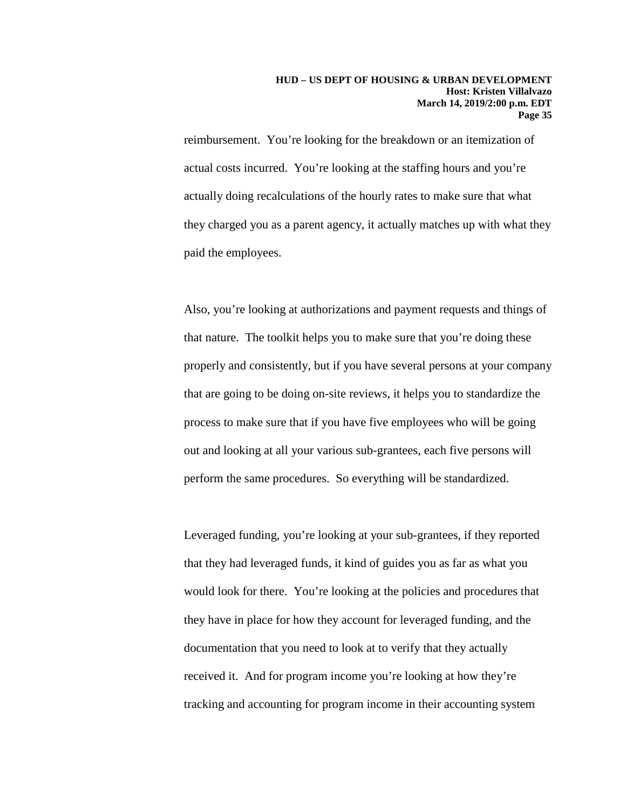reimbursement. You're looking for the breakdown or an itemization of actual costs incurred. You're looking at the staffing hours and you're actually doing recalculations of the hourly rates to make sure that what they charged you as a parent agency, it actually matches up with what they paid the employees.

Also, you're looking at authorizations and payment requests and things of that nature. The toolkit helps you to make sure that you're doing these properly and consistently, but if you have several persons at your company that are going to be doing on-site reviews, it helps you to standardize the process to make sure that if you have five employees who will be going out and looking at all your various sub-grantees, each five persons will perform the same procedures. So everything will be standardized.

Leveraged funding, you're looking at your sub-grantees, if they reported that they had leveraged funds, it kind of guides you as far as what you would look for there. You're looking at the policies and procedures that they have in place for how they account for leveraged funding, and the documentation that you need to look at to verify that they actually received it. And for program income you're looking at how they're tracking and accounting for program income in their accounting system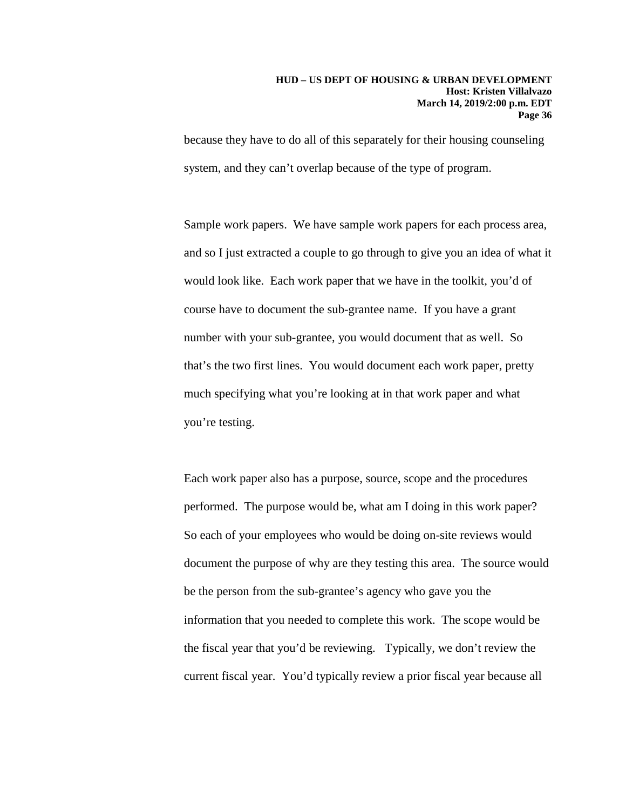because they have to do all of this separately for their housing counseling system, and they can't overlap because of the type of program.

Sample work papers. We have sample work papers for each process area, and so I just extracted a couple to go through to give you an idea of what it would look like. Each work paper that we have in the toolkit, you'd of course have to document the sub-grantee name. If you have a grant number with your sub-grantee, you would document that as well. So that's the two first lines. You would document each work paper, pretty much specifying what you're looking at in that work paper and what you're testing.

Each work paper also has a purpose, source, scope and the procedures performed. The purpose would be, what am I doing in this work paper? So each of your employees who would be doing on-site reviews would document the purpose of why are they testing this area. The source would be the person from the sub-grantee's agency who gave you the information that you needed to complete this work. The scope would be the fiscal year that you'd be reviewing. Typically, we don't review the current fiscal year. You'd typically review a prior fiscal year because all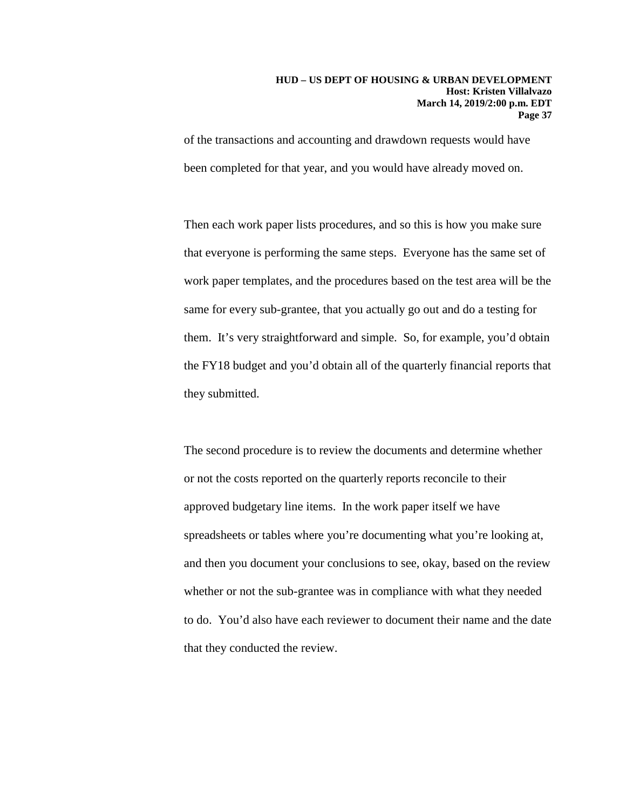of the transactions and accounting and drawdown requests would have been completed for that year, and you would have already moved on.

Then each work paper lists procedures, and so this is how you make sure that everyone is performing the same steps. Everyone has the same set of work paper templates, and the procedures based on the test area will be the same for every sub-grantee, that you actually go out and do a testing for them. It's very straightforward and simple. So, for example, you'd obtain the FY18 budget and you'd obtain all of the quarterly financial reports that they submitted.

The second procedure is to review the documents and determine whether or not the costs reported on the quarterly reports reconcile to their approved budgetary line items. In the work paper itself we have spreadsheets or tables where you're documenting what you're looking at, and then you document your conclusions to see, okay, based on the review whether or not the sub-grantee was in compliance with what they needed to do. You'd also have each reviewer to document their name and the date that they conducted the review.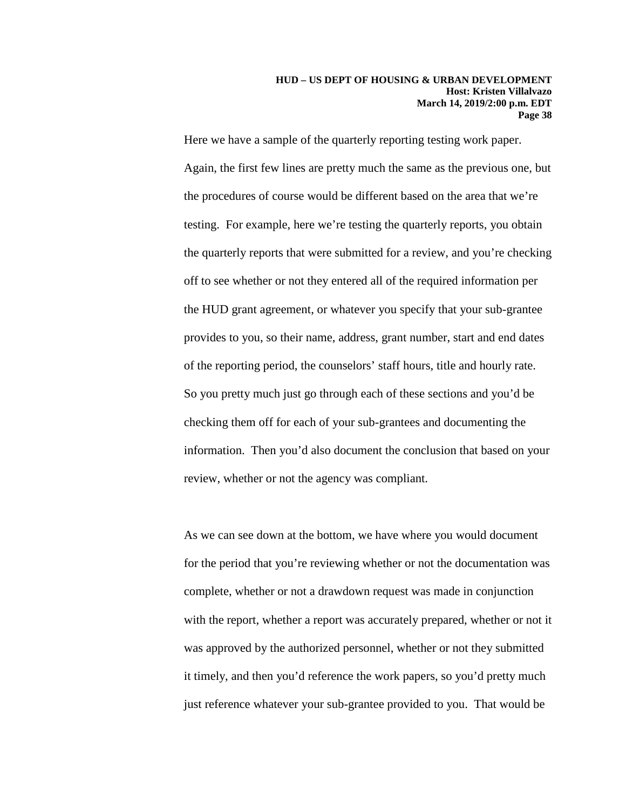Here we have a sample of the quarterly reporting testing work paper. Again, the first few lines are pretty much the same as the previous one, but the procedures of course would be different based on the area that we're testing. For example, here we're testing the quarterly reports, you obtain the quarterly reports that were submitted for a review, and you're checking off to see whether or not they entered all of the required information per the HUD grant agreement, or whatever you specify that your sub-grantee provides to you, so their name, address, grant number, start and end dates of the reporting period, the counselors' staff hours, title and hourly rate. So you pretty much just go through each of these sections and you'd be checking them off for each of your sub-grantees and documenting the information. Then you'd also document the conclusion that based on your review, whether or not the agency was compliant.

As we can see down at the bottom, we have where you would document for the period that you're reviewing whether or not the documentation was complete, whether or not a drawdown request was made in conjunction with the report, whether a report was accurately prepared, whether or not it was approved by the authorized personnel, whether or not they submitted it timely, and then you'd reference the work papers, so you'd pretty much just reference whatever your sub-grantee provided to you. That would be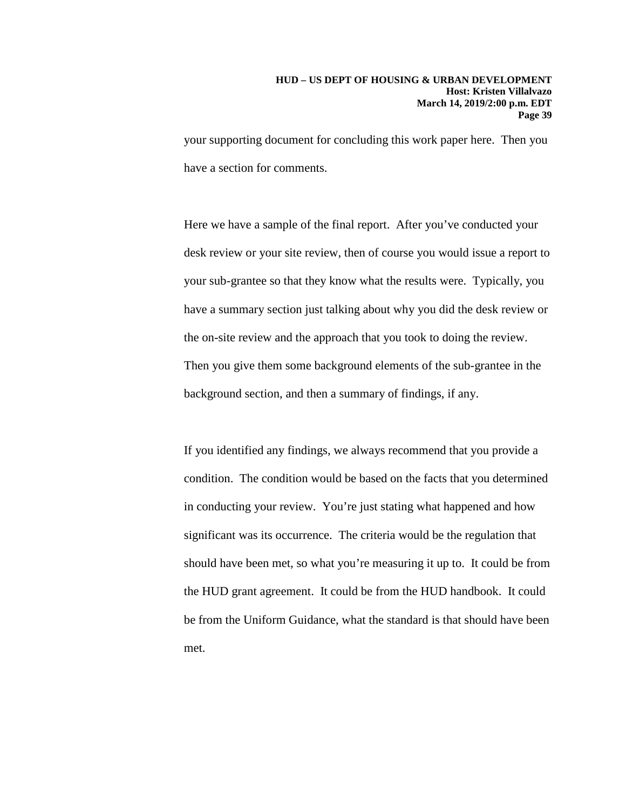your supporting document for concluding this work paper here. Then you have a section for comments.

Here we have a sample of the final report. After you've conducted your desk review or your site review, then of course you would issue a report to your sub-grantee so that they know what the results were. Typically, you have a summary section just talking about why you did the desk review or the on-site review and the approach that you took to doing the review. Then you give them some background elements of the sub-grantee in the background section, and then a summary of findings, if any.

If you identified any findings, we always recommend that you provide a condition. The condition would be based on the facts that you determined in conducting your review. You're just stating what happened and how significant was its occurrence. The criteria would be the regulation that should have been met, so what you're measuring it up to. It could be from the HUD grant agreement. It could be from the HUD handbook. It could be from the Uniform Guidance, what the standard is that should have been met.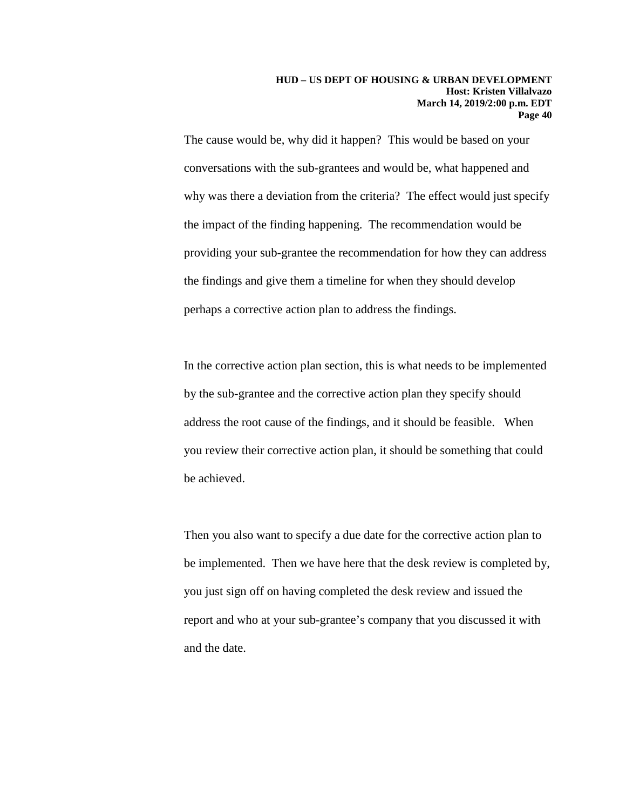The cause would be, why did it happen? This would be based on your conversations with the sub-grantees and would be, what happened and why was there a deviation from the criteria? The effect would just specify the impact of the finding happening. The recommendation would be providing your sub-grantee the recommendation for how they can address the findings and give them a timeline for when they should develop perhaps a corrective action plan to address the findings.

In the corrective action plan section, this is what needs to be implemented by the sub-grantee and the corrective action plan they specify should address the root cause of the findings, and it should be feasible. When you review their corrective action plan, it should be something that could be achieved.

Then you also want to specify a due date for the corrective action plan to be implemented. Then we have here that the desk review is completed by, you just sign off on having completed the desk review and issued the report and who at your sub-grantee's company that you discussed it with and the date.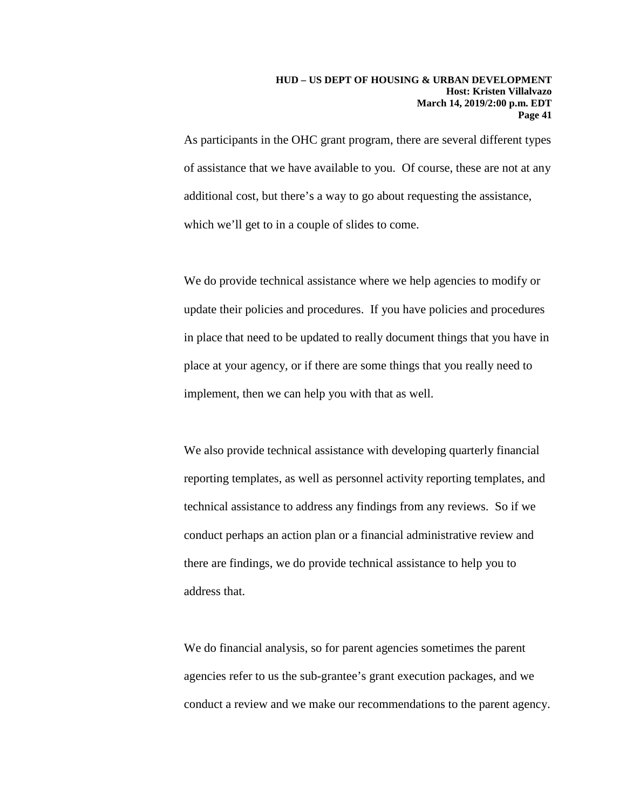As participants in the OHC grant program, there are several different types of assistance that we have available to you. Of course, these are not at any additional cost, but there's a way to go about requesting the assistance, which we'll get to in a couple of slides to come.

We do provide technical assistance where we help agencies to modify or update their policies and procedures. If you have policies and procedures in place that need to be updated to really document things that you have in place at your agency, or if there are some things that you really need to implement, then we can help you with that as well.

We also provide technical assistance with developing quarterly financial reporting templates, as well as personnel activity reporting templates, and technical assistance to address any findings from any reviews. So if we conduct perhaps an action plan or a financial administrative review and there are findings, we do provide technical assistance to help you to address that.

We do financial analysis, so for parent agencies sometimes the parent agencies refer to us the sub-grantee's grant execution packages, and we conduct a review and we make our recommendations to the parent agency.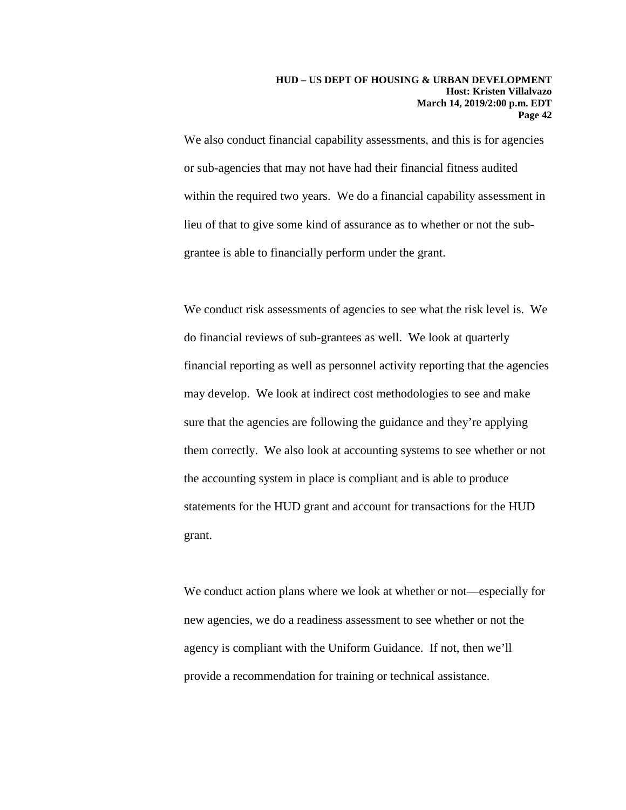We also conduct financial capability assessments, and this is for agencies or sub-agencies that may not have had their financial fitness audited within the required two years. We do a financial capability assessment in lieu of that to give some kind of assurance as to whether or not the subgrantee is able to financially perform under the grant.

We conduct risk assessments of agencies to see what the risk level is. We do financial reviews of sub-grantees as well. We look at quarterly financial reporting as well as personnel activity reporting that the agencies may develop. We look at indirect cost methodologies to see and make sure that the agencies are following the guidance and they're applying them correctly. We also look at accounting systems to see whether or not the accounting system in place is compliant and is able to produce statements for the HUD grant and account for transactions for the HUD grant.

We conduct action plans where we look at whether or not—especially for new agencies, we do a readiness assessment to see whether or not the agency is compliant with the Uniform Guidance. If not, then we'll provide a recommendation for training or technical assistance.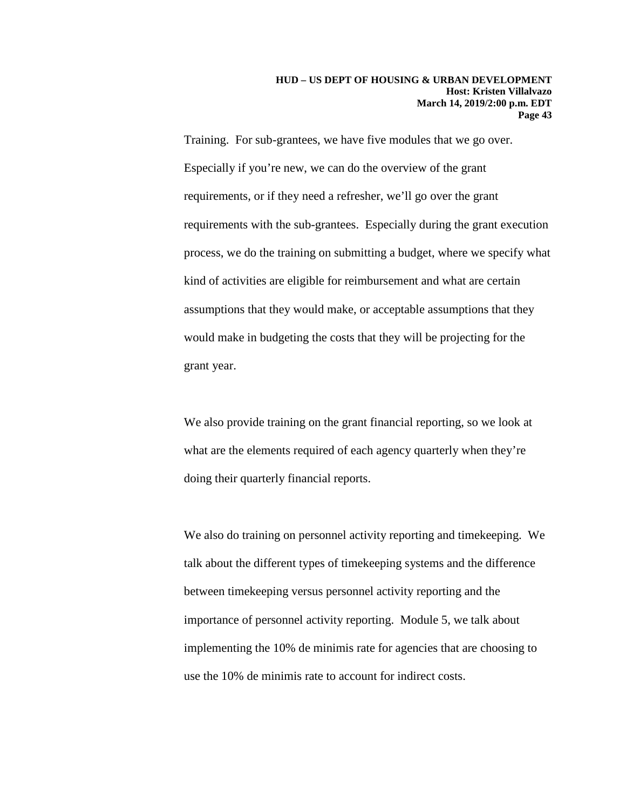Training. For sub-grantees, we have five modules that we go over. Especially if you're new, we can do the overview of the grant requirements, or if they need a refresher, we'll go over the grant requirements with the sub-grantees. Especially during the grant execution process, we do the training on submitting a budget, where we specify what kind of activities are eligible for reimbursement and what are certain assumptions that they would make, or acceptable assumptions that they would make in budgeting the costs that they will be projecting for the grant year.

We also provide training on the grant financial reporting, so we look at what are the elements required of each agency quarterly when they're doing their quarterly financial reports.

We also do training on personnel activity reporting and timekeeping. We talk about the different types of timekeeping systems and the difference between timekeeping versus personnel activity reporting and the importance of personnel activity reporting. Module 5, we talk about implementing the 10% de minimis rate for agencies that are choosing to use the 10% de minimis rate to account for indirect costs.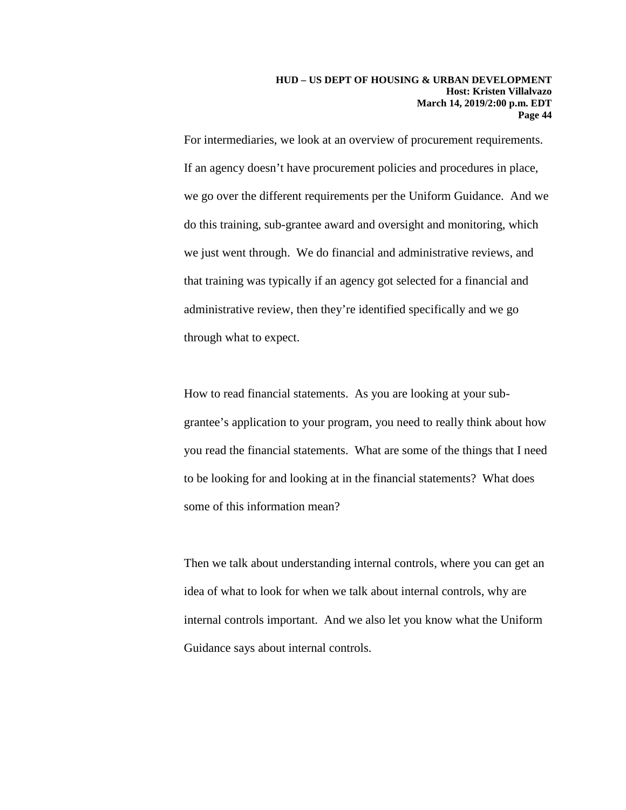For intermediaries, we look at an overview of procurement requirements. If an agency doesn't have procurement policies and procedures in place, we go over the different requirements per the Uniform Guidance. And we do this training, sub-grantee award and oversight and monitoring, which we just went through. We do financial and administrative reviews, and that training was typically if an agency got selected for a financial and administrative review, then they're identified specifically and we go through what to expect.

How to read financial statements. As you are looking at your subgrantee's application to your program, you need to really think about how you read the financial statements. What are some of the things that I need to be looking for and looking at in the financial statements? What does some of this information mean?

Then we talk about understanding internal controls, where you can get an idea of what to look for when we talk about internal controls, why are internal controls important. And we also let you know what the Uniform Guidance says about internal controls.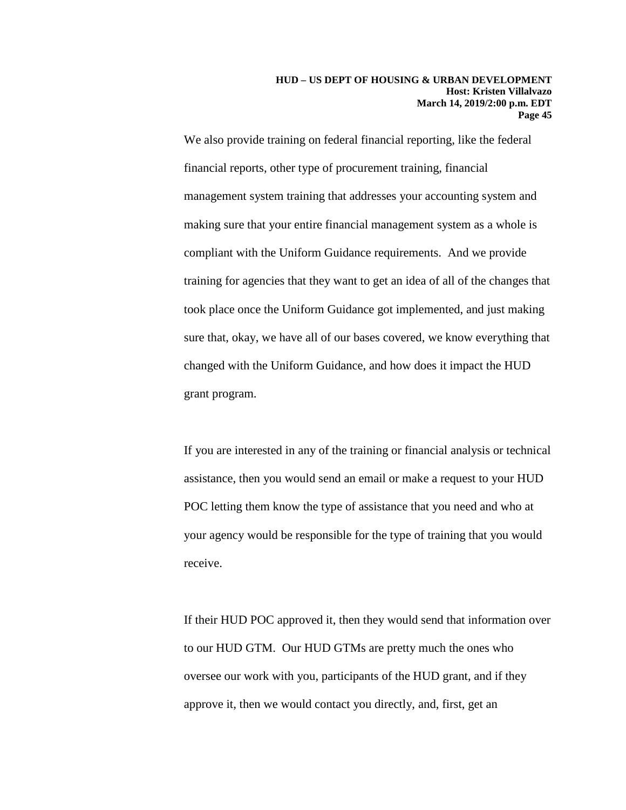We also provide training on federal financial reporting, like the federal financial reports, other type of procurement training, financial management system training that addresses your accounting system and making sure that your entire financial management system as a whole is compliant with the Uniform Guidance requirements. And we provide training for agencies that they want to get an idea of all of the changes that took place once the Uniform Guidance got implemented, and just making sure that, okay, we have all of our bases covered, we know everything that changed with the Uniform Guidance, and how does it impact the HUD grant program.

If you are interested in any of the training or financial analysis or technical assistance, then you would send an email or make a request to your HUD POC letting them know the type of assistance that you need and who at your agency would be responsible for the type of training that you would receive.

If their HUD POC approved it, then they would send that information over to our HUD GTM. Our HUD GTMs are pretty much the ones who oversee our work with you, participants of the HUD grant, and if they approve it, then we would contact you directly, and, first, get an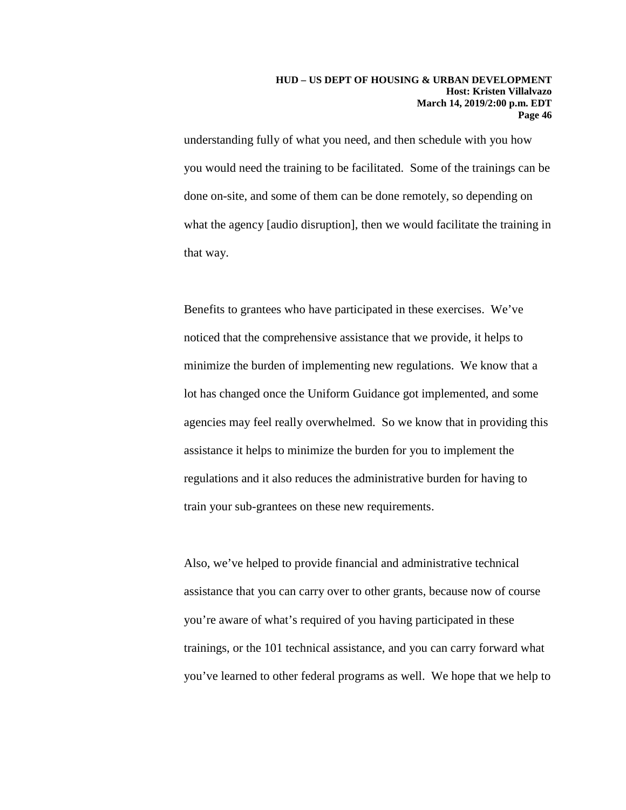understanding fully of what you need, and then schedule with you how you would need the training to be facilitated. Some of the trainings can be done on-site, and some of them can be done remotely, so depending on what the agency [audio disruption], then we would facilitate the training in that way.

Benefits to grantees who have participated in these exercises. We've noticed that the comprehensive assistance that we provide, it helps to minimize the burden of implementing new regulations. We know that a lot has changed once the Uniform Guidance got implemented, and some agencies may feel really overwhelmed. So we know that in providing this assistance it helps to minimize the burden for you to implement the regulations and it also reduces the administrative burden for having to train your sub-grantees on these new requirements.

Also, we've helped to provide financial and administrative technical assistance that you can carry over to other grants, because now of course you're aware of what's required of you having participated in these trainings, or the 101 technical assistance, and you can carry forward what you've learned to other federal programs as well. We hope that we help to